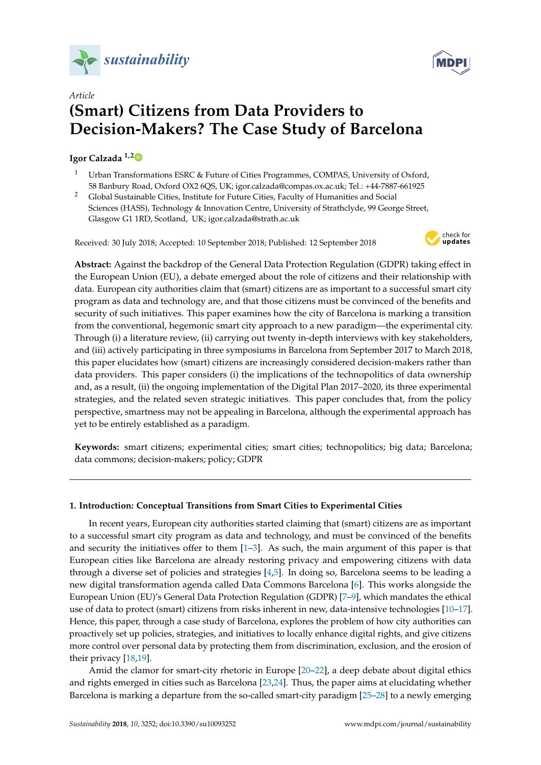



# *Article* **(Smart) Citizens from Data Providers to Decision-Makers? The Case Study of Barcelona**

# **Igor Calzada 1,[2](https://orcid.org/0000-0002-4269-830X)**

- Urban Transformations ESRC & Future of Cities Programmes, COMPAS, University of Oxford, 58 Banbury Road, Oxford OX2 6QS, UK; igor.calzada@compas.ox.ac.uk; Tel.: +44-7887-661925
- <sup>2</sup> Global Sustainable Cities, Institute for Future Cities, Faculty of Humanities and Social Sciences (HASS), Technology & Innovation Centre, University of Strathclyde, 99 George Street, Glasgow G1 1RD, Scotland, UK; igor.calzada@strath.ac.uk

Received: 30 July 2018; Accepted: 10 September 2018; Published: 12 September 2018



**Abstract:** Against the backdrop of the General Data Protection Regulation (GDPR) taking effect in the European Union (EU), a debate emerged about the role of citizens and their relationship with data. European city authorities claim that (smart) citizens are as important to a successful smart city program as data and technology are, and that those citizens must be convinced of the benefits and security of such initiatives. This paper examines how the city of Barcelona is marking a transition from the conventional, hegemonic smart city approach to a new paradigm—the experimental city. Through (i) a literature review, (ii) carrying out twenty in-depth interviews with key stakeholders, and (iii) actively participating in three symposiums in Barcelona from September 2017 to March 2018, this paper elucidates how (smart) citizens are increasingly considered decision-makers rather than data providers. This paper considers (i) the implications of the technopolitics of data ownership and, as a result, (ii) the ongoing implementation of the Digital Plan 2017–2020, its three experimental strategies, and the related seven strategic initiatives. This paper concludes that, from the policy perspective, smartness may not be appealing in Barcelona, although the experimental approach has yet to be entirely established as a paradigm.

**Keywords:** smart citizens; experimental cities; smart cities; technopolitics; big data; Barcelona; data commons; decision-makers; policy; GDPR

## **1. Introduction: Conceptual Transitions from Smart Cities to Experimental Cities**

In recent years, European city authorities started claiming that (smart) citizens are as important to a successful smart city program as data and technology, and must be convinced of the benefits and security the initiatives offer to them  $[1-3]$  $[1-3]$ . As such, the main argument of this paper is that European cities like Barcelona are already restoring privacy and empowering citizens with data through a diverse set of policies and strategies [\[4](#page-18-2)[,5\]](#page-18-3). In doing so, Barcelona seems to be leading a new digital transformation agenda called Data Commons Barcelona [\[6\]](#page-18-4). This works alongside the European Union (EU)'s General Data Protection Regulation (GDPR) [\[7–](#page-18-5)[9\]](#page-18-6), which mandates the ethical use of data to protect (smart) citizens from risks inherent in new, data-intensive technologies [\[10–](#page-18-7)[17\]](#page-18-8). Hence, this paper, through a case study of Barcelona, explores the problem of how city authorities can proactively set up policies, strategies, and initiatives to locally enhance digital rights, and give citizens more control over personal data by protecting them from discrimination, exclusion, and the erosion of their privacy [\[18](#page-18-9)[,19\]](#page-18-10).

Amid the clamor for smart-city rhetoric in Europe [\[20–](#page-18-11)[22\]](#page-18-12), a deep debate about digital ethics and rights emerged in cities such as Barcelona [\[23](#page-18-13)[,24\]](#page-19-0). Thus, the paper aims at elucidating whether Barcelona is marking a departure from the so-called smart-city paradigm [\[25–](#page-19-1)[28\]](#page-19-2) to a newly emerging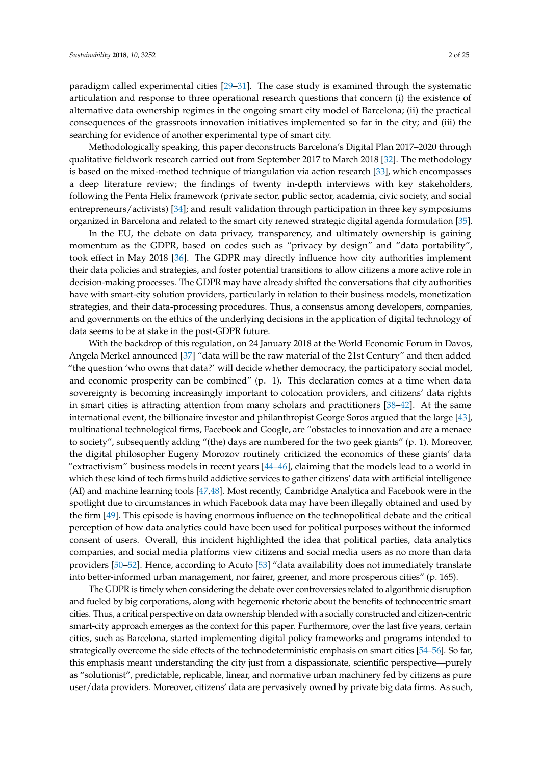paradigm called experimental cities [\[29–](#page-19-3)[31\]](#page-19-4). The case study is examined through the systematic articulation and response to three operational research questions that concern (i) the existence of alternative data ownership regimes in the ongoing smart city model of Barcelona; (ii) the practical consequences of the grassroots innovation initiatives implemented so far in the city; and (iii) the searching for evidence of another experimental type of smart city.

Methodologically speaking, this paper deconstructs Barcelona's Digital Plan 2017–2020 through qualitative fieldwork research carried out from September 2017 to March 2018 [\[32\]](#page-19-5). The methodology is based on the mixed-method technique of triangulation via action research [\[33\]](#page-19-6), which encompasses a deep literature review; the findings of twenty in-depth interviews with key stakeholders, following the Penta Helix framework (private sector, public sector, academia, civic society, and social entrepreneurs/activists) [\[34\]](#page-19-7); and result validation through participation in three key symposiums organized in Barcelona and related to the smart city renewed strategic digital agenda formulation [\[35\]](#page-19-8).

In the EU, the debate on data privacy, transparency, and ultimately ownership is gaining momentum as the GDPR, based on codes such as "privacy by design" and "data portability", took effect in May 2018 [\[36\]](#page-19-9). The GDPR may directly influence how city authorities implement their data policies and strategies, and foster potential transitions to allow citizens a more active role in decision-making processes. The GDPR may have already shifted the conversations that city authorities have with smart-city solution providers, particularly in relation to their business models, monetization strategies, and their data-processing procedures. Thus, a consensus among developers, companies, and governments on the ethics of the underlying decisions in the application of digital technology of data seems to be at stake in the post-GDPR future.

With the backdrop of this regulation, on 24 January 2018 at the World Economic Forum in Davos, Angela Merkel announced [\[37\]](#page-19-10) "data will be the raw material of the 21st Century" and then added "the question 'who owns that data?' will decide whether democracy, the participatory social model, and economic prosperity can be combined" (p. 1). This declaration comes at a time when data sovereignty is becoming increasingly important to colocation providers, and citizens' data rights in smart cities is attracting attention from many scholars and practitioners [\[38–](#page-19-11)[42\]](#page-19-12). At the same international event, the billionaire investor and philanthropist George Soros argued that the large [\[43\]](#page-19-13), multinational technological firms, Facebook and Google, are "obstacles to innovation and are a menace to society", subsequently adding "(the) days are numbered for the two geek giants" (p. 1). Moreover, the digital philosopher Eugeny Morozov routinely criticized the economics of these giants' data "extractivism" business models in recent years  $[44–46]$  $[44–46]$ , claiming that the models lead to a world in which these kind of tech firms build addictive services to gather citizens' data with artificial intelligence (AI) and machine learning tools [\[47,](#page-20-0)[48\]](#page-20-1). Most recently, Cambridge Analytica and Facebook were in the spotlight due to circumstances in which Facebook data may have been illegally obtained and used by the firm [\[49\]](#page-20-2). This episode is having enormous influence on the technopolitical debate and the critical perception of how data analytics could have been used for political purposes without the informed consent of users. Overall, this incident highlighted the idea that political parties, data analytics companies, and social media platforms view citizens and social media users as no more than data providers [\[50–](#page-20-3)[52\]](#page-20-4). Hence, according to Acuto [\[53\]](#page-20-5) "data availability does not immediately translate into better-informed urban management, nor fairer, greener, and more prosperous cities" (p. 165).

The GDPR is timely when considering the debate over controversies related to algorithmic disruption and fueled by big corporations, along with hegemonic rhetoric about the benefits of technocentric smart cities. Thus, a critical perspective on data ownership blended with a socially constructed and citizen-centric smart-city approach emerges as the context for this paper. Furthermore, over the last five years, certain cities, such as Barcelona, started implementing digital policy frameworks and programs intended to strategically overcome the side effects of the technodeterministic emphasis on smart cities [\[54–](#page-20-6)[56\]](#page-20-7). So far, this emphasis meant understanding the city just from a dispassionate, scientific perspective—purely as "solutionist", predictable, replicable, linear, and normative urban machinery fed by citizens as pure user/data providers. Moreover, citizens' data are pervasively owned by private big data firms. As such,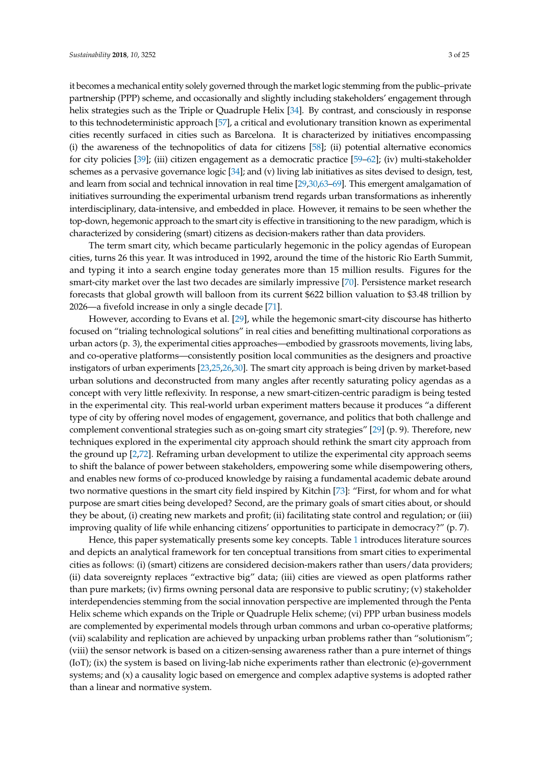it becomes a mechanical entity solely governed through the market logic stemming from the public–private partnership (PPP) scheme, and occasionally and slightly including stakeholders' engagement through helix strategies such as the Triple or Quadruple Helix [\[34\]](#page-19-7). By contrast, and consciously in response to this technodeterministic approach [\[57\]](#page-20-8), a critical and evolutionary transition known as experimental cities recently surfaced in cities such as Barcelona. It is characterized by initiatives encompassing (i) the awareness of the technopolitics of data for citizens [\[58\]](#page-20-9); (ii) potential alternative economics for city policies [\[39\]](#page-19-16); (iii) citizen engagement as a democratic practice [\[59](#page-20-10)[–62\]](#page-20-11); (iv) multi-stakeholder schemes as a pervasive governance logic [\[34\]](#page-19-7); and (v) living lab initiatives as sites devised to design, test, and learn from social and technical innovation in real time [\[29,](#page-19-3)[30,](#page-19-17)[63](#page-20-12)[–69\]](#page-20-13). This emergent amalgamation of initiatives surrounding the experimental urbanism trend regards urban transformations as inherently interdisciplinary, data-intensive, and embedded in place. However, it remains to be seen whether the top-down, hegemonic approach to the smart city is effective in transitioning to the new paradigm, which is characterized by considering (smart) citizens as decision-makers rather than data providers.

The term smart city, which became particularly hegemonic in the policy agendas of European cities, turns 26 this year. It was introduced in 1992, around the time of the historic Rio Earth Summit, and typing it into a search engine today generates more than 15 million results. Figures for the smart-city market over the last two decades are similarly impressive [\[70\]](#page-20-14). Persistence market research forecasts that global growth will balloon from its current \$622 billion valuation to \$3.48 trillion by 2026—a fivefold increase in only a single decade [\[71\]](#page-21-0).

However, according to Evans et al. [\[29\]](#page-19-3), while the hegemonic smart-city discourse has hitherto focused on "trialing technological solutions" in real cities and benefitting multinational corporations as urban actors (p. 3), the experimental cities approaches—embodied by grassroots movements, living labs, and co-operative platforms—consistently position local communities as the designers and proactive instigators of urban experiments [\[23](#page-18-13)[,25,](#page-19-1)[26](#page-19-18)[,30\]](#page-19-17). The smart city approach is being driven by market-based urban solutions and deconstructed from many angles after recently saturating policy agendas as a concept with very little reflexivity. In response, a new smart-citizen-centric paradigm is being tested in the experimental city. This real-world urban experiment matters because it produces "a different type of city by offering novel modes of engagement, governance, and politics that both challenge and complement conventional strategies such as on-going smart city strategies" [\[29\]](#page-19-3) (p. 9). Therefore, new techniques explored in the experimental city approach should rethink the smart city approach from the ground up [\[2](#page-18-14)[,72\]](#page-21-1). Reframing urban development to utilize the experimental city approach seems to shift the balance of power between stakeholders, empowering some while disempowering others, and enables new forms of co-produced knowledge by raising a fundamental academic debate around two normative questions in the smart city field inspired by Kitchin [\[73\]](#page-21-2): "First, for whom and for what purpose are smart cities being developed? Second, are the primary goals of smart cities about, or should they be about, (i) creating new markets and profit; (ii) facilitating state control and regulation; or (iii) improving quality of life while enhancing citizens' opportunities to participate in democracy?" (p. 7).

Hence, this paper systematically presents some key concepts. Table [1](#page-3-0) introduces literature sources and depicts an analytical framework for ten conceptual transitions from smart cities to experimental cities as follows: (i) (smart) citizens are considered decision-makers rather than users/data providers; (ii) data sovereignty replaces "extractive big" data; (iii) cities are viewed as open platforms rather than pure markets; (iv) firms owning personal data are responsive to public scrutiny; (v) stakeholder interdependencies stemming from the social innovation perspective are implemented through the Penta Helix scheme which expands on the Triple or Quadruple Helix scheme; (vi) PPP urban business models are complemented by experimental models through urban commons and urban co-operative platforms; (vii) scalability and replication are achieved by unpacking urban problems rather than "solutionism"; (viii) the sensor network is based on a citizen-sensing awareness rather than a pure internet of things (IoT); (ix) the system is based on living-lab niche experiments rather than electronic (e)-government systems; and (x) a causality logic based on emergence and complex adaptive systems is adopted rather than a linear and normative system.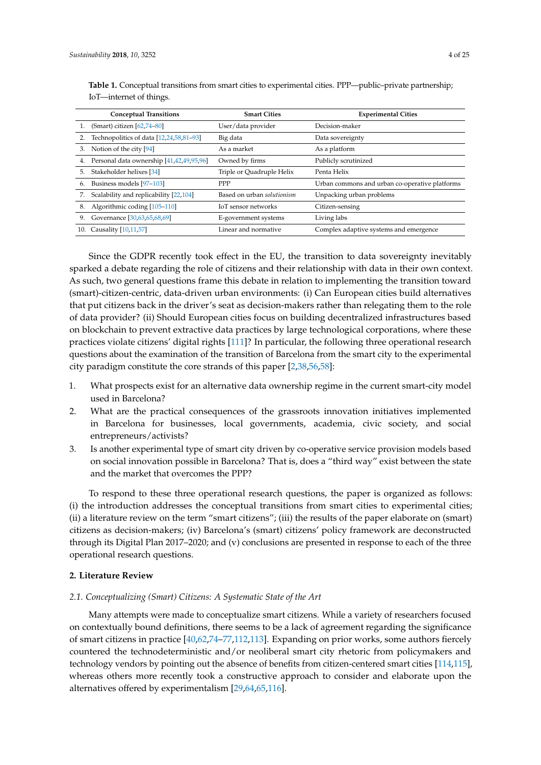|     | <b>Conceptual Transitions</b>            | <b>Smart Cities</b>        | <b>Experimental Cities</b>                     |
|-----|------------------------------------------|----------------------------|------------------------------------------------|
|     | (Smart) citizen $[62,74-80]$             | User/data provider         | Decision-maker                                 |
|     | Technopolitics of data [12,24,58,81-93]  | Big data                   | Data sovereignty                               |
| 3.  | Notion of the city [94]                  | As a market                | As a platform                                  |
| 4.  | Personal data ownership [41,42,49,95,96] | Owned by firms             | Publicly scrutinized                           |
| 5.  | Stakeholder helixes [34]                 | Triple or Quadruple Helix  | Penta Helix                                    |
| 6.  | Business models [97-103]                 | PPP                        | Urban commons and urban co-operative platforms |
|     | Scalability and replicability [22,104]   | Based on urban solutionism | Unpacking urban problems                       |
| 8.  | Algorithmic coding [105-110]             | IoT sensor networks        | Citizen-sensing                                |
| 9.  | Governance [30,63,65,68,69]              | E-government systems       | Living labs                                    |
| 10. | Causality [10,11,57]                     | Linear and normative       | Complex adaptive systems and emergence         |

<span id="page-3-0"></span>**Table 1.** Conceptual transitions from smart cities to experimental cities. PPP—public–private partnership; IoT—internet of things.

Since the GDPR recently took effect in the EU, the transition to data sovereignty inevitably sparked a debate regarding the role of citizens and their relationship with data in their own context. As such, two general questions frame this debate in relation to implementing the transition toward (smart)-citizen-centric, data-driven urban environments: (i) Can European cities build alternatives that put citizens back in the driver's seat as decision-makers rather than relegating them to the role of data provider? (ii) Should European cities focus on building decentralized infrastructures based on blockchain to prevent extractive data practices by large technological corporations, where these practices violate citizens' digital rights [\[111\]](#page-22-4)? In particular, the following three operational research questions about the examination of the transition of Barcelona from the smart city to the experimental city paradigm constitute the core strands of this paper [\[2,](#page-18-14)[38,](#page-19-11)[56,](#page-20-7)[58\]](#page-20-9):

- 1. What prospects exist for an alternative data ownership regime in the current smart-city model used in Barcelona?
- 2. What are the practical consequences of the grassroots innovation initiatives implemented in Barcelona for businesses, local governments, academia, civic society, and social entrepreneurs/activists?
- 3. Is another experimental type of smart city driven by co-operative service provision models based on social innovation possible in Barcelona? That is, does a "third way" exist between the state and the market that overcomes the PPP?

To respond to these three operational research questions, the paper is organized as follows: (i) the introduction addresses the conceptual transitions from smart cities to experimental cities; (ii) a literature review on the term "smart citizens"; (iii) the results of the paper elaborate on (smart) citizens as decision-makers; (iv) Barcelona's (smart) citizens' policy framework are deconstructed through its Digital Plan 2017–2020; and (v) conclusions are presented in response to each of the three operational research questions.

#### **2. Literature Review**

### *2.1. Conceptualizing (Smart) Citizens: A Systematic State of the Art*

Many attempts were made to conceptualize smart citizens. While a variety of researchers focused on contextually bound definitions, there seems to be a lack of agreement regarding the significance of smart citizens in practice [\[40,](#page-19-20)[62,](#page-20-11)[74](#page-21-3)[–77](#page-21-11)[,112](#page-22-5)[,113\]](#page-22-6). Expanding on prior works, some authors fiercely countered the technodeterministic and/or neoliberal smart city rhetoric from policymakers and technology vendors by pointing out the absence of benefits from citizen-centered smart cities [\[114](#page-22-7)[,115\]](#page-22-8), whereas others more recently took a constructive approach to consider and elaborate upon the alternatives offered by experimentalism [\[29](#page-19-3)[,64](#page-20-17)[,65](#page-20-15)[,116\]](#page-22-9).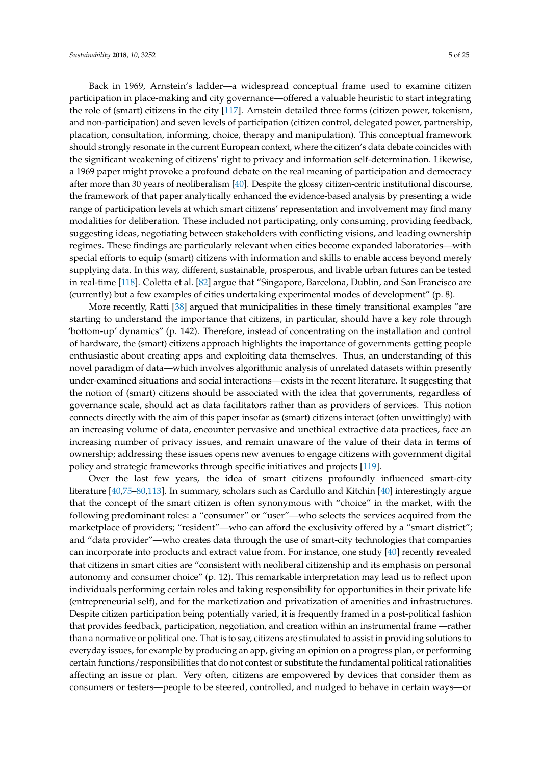Back in 1969, Arnstein's ladder—a widespread conceptual frame used to examine citizen participation in place-making and city governance—offered a valuable heuristic to start integrating the role of (smart) citizens in the city [\[117\]](#page-22-10). Arnstein detailed three forms (citizen power, tokenism, and non-participation) and seven levels of participation (citizen control, delegated power, partnership, placation, consultation, informing, choice, therapy and manipulation). This conceptual framework should strongly resonate in the current European context, where the citizen's data debate coincides with the significant weakening of citizens' right to privacy and information self-determination. Likewise, a 1969 paper might provoke a profound debate on the real meaning of participation and democracy after more than 30 years of neoliberalism [\[40\]](#page-19-20). Despite the glossy citizen-centric institutional discourse, the framework of that paper analytically enhanced the evidence-based analysis by presenting a wide range of participation levels at which smart citizens' representation and involvement may find many modalities for deliberation. These included not participating, only consuming, providing feedback, suggesting ideas, negotiating between stakeholders with conflicting visions, and leading ownership regimes. These findings are particularly relevant when cities become expanded laboratories—with special efforts to equip (smart) citizens with information and skills to enable access beyond merely supplying data. In this way, different, sustainable, prosperous, and livable urban futures can be tested in real-time [\[118\]](#page-22-11). Coletta et al. [\[82\]](#page-21-12) argue that "Singapore, Barcelona, Dublin, and San Francisco are (currently) but a few examples of cities undertaking experimental modes of development" (p. 8).

More recently, Ratti [\[38\]](#page-19-11) argued that municipalities in these timely transitional examples "are starting to understand the importance that citizens, in particular, should have a key role through 'bottom-up' dynamics" (p. 142). Therefore, instead of concentrating on the installation and control of hardware, the (smart) citizens approach highlights the importance of governments getting people enthusiastic about creating apps and exploiting data themselves. Thus, an understanding of this novel paradigm of data—which involves algorithmic analysis of unrelated datasets within presently under-examined situations and social interactions—exists in the recent literature. It suggesting that the notion of (smart) citizens should be associated with the idea that governments, regardless of governance scale, should act as data facilitators rather than as providers of services. This notion connects directly with the aim of this paper insofar as (smart) citizens interact (often unwittingly) with an increasing volume of data, encounter pervasive and unethical extractive data practices, face an increasing number of privacy issues, and remain unaware of the value of their data in terms of ownership; addressing these issues opens new avenues to engage citizens with government digital policy and strategic frameworks through specific initiatives and projects [\[119\]](#page-22-12).

Over the last few years, the idea of smart citizens profoundly influenced smart-city literature [\[40](#page-19-20)[,75](#page-21-13)[–80,](#page-21-4)[113\]](#page-22-6). In summary, scholars such as Cardullo and Kitchin [\[40\]](#page-19-20) interestingly argue that the concept of the smart citizen is often synonymous with "choice" in the market, with the following predominant roles: a "consumer" or "user"—who selects the services acquired from the marketplace of providers; "resident"—who can afford the exclusivity offered by a "smart district"; and "data provider"—who creates data through the use of smart-city technologies that companies can incorporate into products and extract value from. For instance, one study [\[40\]](#page-19-20) recently revealed that citizens in smart cities are "consistent with neoliberal citizenship and its emphasis on personal autonomy and consumer choice" (p. 12). This remarkable interpretation may lead us to reflect upon individuals performing certain roles and taking responsibility for opportunities in their private life (entrepreneurial self), and for the marketization and privatization of amenities and infrastructures. Despite citizen participation being potentially varied, it is frequently framed in a post-political fashion that provides feedback, participation, negotiation, and creation within an instrumental frame —rather than a normative or political one. That is to say, citizens are stimulated to assist in providing solutions to everyday issues, for example by producing an app, giving an opinion on a progress plan, or performing certain functions/responsibilities that do not contest or substitute the fundamental political rationalities affecting an issue or plan. Very often, citizens are empowered by devices that consider them as consumers or testers—people to be steered, controlled, and nudged to behave in certain ways—or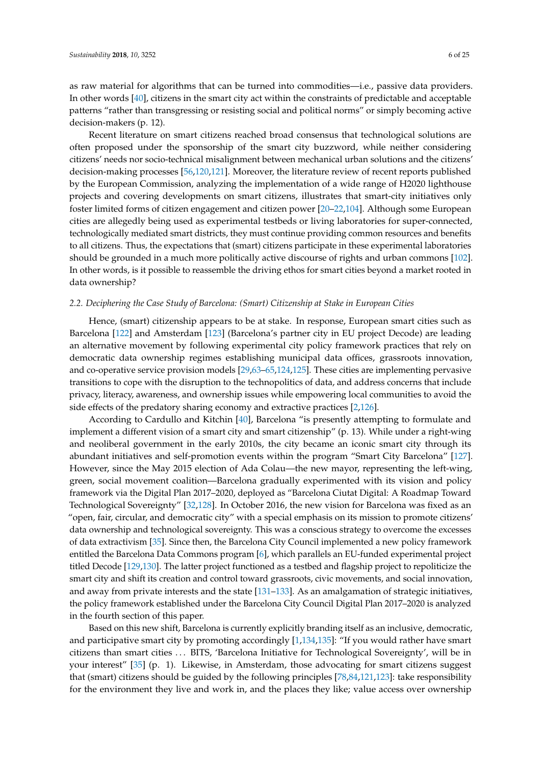as raw material for algorithms that can be turned into commodities—i.e., passive data providers. In other words [\[40\]](#page-19-20), citizens in the smart city act within the constraints of predictable and acceptable patterns "rather than transgressing or resisting social and political norms" or simply becoming active decision-makers (p. 12).

Recent literature on smart citizens reached broad consensus that technological solutions are often proposed under the sponsorship of the smart city buzzword, while neither considering citizens' needs nor socio-technical misalignment between mechanical urban solutions and the citizens' decision-making processes [\[56](#page-20-7)[,120](#page-22-13)[,121\]](#page-22-14). Moreover, the literature review of recent reports published by the European Commission, analyzing the implementation of a wide range of H2020 lighthouse projects and covering developments on smart citizens, illustrates that smart-city initiatives only foster limited forms of citizen engagement and citizen power [\[20–](#page-18-11)[22](#page-18-12)[,104\]](#page-22-1). Although some European cities are allegedly being used as experimental testbeds or living laboratories for super-connected, technologically mediated smart districts, they must continue providing common resources and benefits to all citizens. Thus, the expectations that (smart) citizens participate in these experimental laboratories should be grounded in a much more politically active discourse of rights and urban commons [\[102\]](#page-22-15). In other words, is it possible to reassemble the driving ethos for smart cities beyond a market rooted in data ownership?

#### *2.2. Deciphering the Case Study of Barcelona: (Smart) Citizenship at Stake in European Cities*

Hence, (smart) citizenship appears to be at stake. In response, European smart cities such as Barcelona [\[122\]](#page-22-16) and Amsterdam [\[123\]](#page-22-17) (Barcelona's partner city in EU project Decode) are leading an alternative movement by following experimental city policy framework practices that rely on democratic data ownership regimes establishing municipal data offices, grassroots innovation, and co-operative service provision models [\[29](#page-19-3)[,63](#page-20-12)[–65,](#page-20-15)[124,](#page-22-18)[125\]](#page-22-19). These cities are implementing pervasive transitions to cope with the disruption to the technopolitics of data, and address concerns that include privacy, literacy, awareness, and ownership issues while empowering local communities to avoid the side effects of the predatory sharing economy and extractive practices [\[2,](#page-18-14)[126\]](#page-22-20).

According to Cardullo and Kitchin [\[40\]](#page-19-20), Barcelona "is presently attempting to formulate and implement a different vision of a smart city and smart citizenship" (p. 13). While under a right-wing and neoliberal government in the early 2010s, the city became an iconic smart city through its abundant initiatives and self-promotion events within the program "Smart City Barcelona" [\[127\]](#page-22-21). However, since the May 2015 election of Ada Colau—the new mayor, representing the left-wing, green, social movement coalition—Barcelona gradually experimented with its vision and policy framework via the Digital Plan 2017–2020, deployed as "Barcelona Ciutat Digital: A Roadmap Toward Technological Sovereignty" [\[32](#page-19-5)[,128\]](#page-23-0). In October 2016, the new vision for Barcelona was fixed as an "open, fair, circular, and democratic city" with a special emphasis on its mission to promote citizens' data ownership and technological sovereignty. This was a conscious strategy to overcome the excesses of data extractivism [\[35\]](#page-19-8). Since then, the Barcelona City Council implemented a new policy framework entitled the Barcelona Data Commons program [\[6\]](#page-18-4), which parallels an EU-funded experimental project titled Decode [\[129](#page-23-1)[,130\]](#page-23-2). The latter project functioned as a testbed and flagship project to repoliticize the smart city and shift its creation and control toward grassroots, civic movements, and social innovation, and away from private interests and the state [\[131](#page-23-3)[–133\]](#page-23-4). As an amalgamation of strategic initiatives, the policy framework established under the Barcelona City Council Digital Plan 2017–2020 is analyzed in the fourth section of this paper.

Based on this new shift, Barcelona is currently explicitly branding itself as an inclusive, democratic, and participative smart city by promoting accordingly [\[1](#page-18-0)[,134](#page-23-5)[,135\]](#page-23-6): "If you would rather have smart citizens than smart cities . . . BITS, 'Barcelona Initiative for Technological Sovereignty', will be in your interest" [\[35\]](#page-19-8) (p. 1). Likewise, in Amsterdam, those advocating for smart citizens suggest that (smart) citizens should be guided by the following principles [\[78](#page-21-14)[,84](#page-21-15)[,121](#page-22-14)[,123\]](#page-22-17): take responsibility for the environment they live and work in, and the places they like; value access over ownership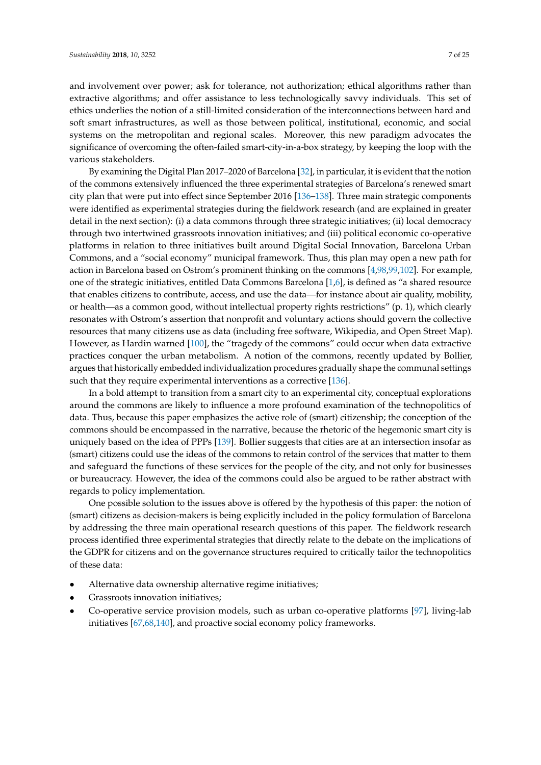and involvement over power; ask for tolerance, not authorization; ethical algorithms rather than extractive algorithms; and offer assistance to less technologically savvy individuals. This set of ethics underlies the notion of a still-limited consideration of the interconnections between hard and soft smart infrastructures, as well as those between political, institutional, economic, and social systems on the metropolitan and regional scales. Moreover, this new paradigm advocates the significance of overcoming the often-failed smart-city-in-a-box strategy, by keeping the loop with the various stakeholders.

By examining the Digital Plan 2017–2020 of Barcelona [\[32\]](#page-19-5), in particular, it is evident that the notion of the commons extensively influenced the three experimental strategies of Barcelona's renewed smart city plan that were put into effect since September 2016 [\[136](#page-23-7)[–138\]](#page-23-8). Three main strategic components were identified as experimental strategies during the fieldwork research (and are explained in greater detail in the next section): (i) a data commons through three strategic initiatives; (ii) local democracy through two intertwined grassroots innovation initiatives; and (iii) political economic co-operative platforms in relation to three initiatives built around Digital Social Innovation, Barcelona Urban Commons, and a "social economy" municipal framework. Thus, this plan may open a new path for action in Barcelona based on Ostrom's prominent thinking on the commons [\[4](#page-18-2)[,98](#page-21-16)[,99,](#page-21-17)[102\]](#page-22-15). For example, one of the strategic initiatives, entitled Data Commons Barcelona [\[1](#page-18-0)[,6\]](#page-18-4), is defined as "a shared resource that enables citizens to contribute, access, and use the data—for instance about air quality, mobility, or health—as a common good, without intellectual property rights restrictions" (p. 1), which clearly resonates with Ostrom's assertion that nonprofit and voluntary actions should govern the collective resources that many citizens use as data (including free software, Wikipedia, and Open Street Map). However, as Hardin warned [\[100\]](#page-22-22), the "tragedy of the commons" could occur when data extractive practices conquer the urban metabolism. A notion of the commons, recently updated by Bollier, argues that historically embedded individualization procedures gradually shape the communal settings such that they require experimental interventions as a corrective [\[136\]](#page-23-7).

In a bold attempt to transition from a smart city to an experimental city, conceptual explorations around the commons are likely to influence a more profound examination of the technopolitics of data. Thus, because this paper emphasizes the active role of (smart) citizenship; the conception of the commons should be encompassed in the narrative, because the rhetoric of the hegemonic smart city is uniquely based on the idea of PPPs [\[139\]](#page-23-9). Bollier suggests that cities are at an intersection insofar as (smart) citizens could use the ideas of the commons to retain control of the services that matter to them and safeguard the functions of these services for the people of the city, and not only for businesses or bureaucracy. However, the idea of the commons could also be argued to be rather abstract with regards to policy implementation.

One possible solution to the issues above is offered by the hypothesis of this paper: the notion of (smart) citizens as decision-makers is being explicitly included in the policy formulation of Barcelona by addressing the three main operational research questions of this paper. The fieldwork research process identified three experimental strategies that directly relate to the debate on the implications of the GDPR for citizens and on the governance structures required to critically tailor the technopolitics of these data:

- Alternative data ownership alternative regime initiatives;
- Grassroots innovation initiatives;
- Co-operative service provision models, such as urban co-operative platforms [\[97\]](#page-21-10), living-lab initiatives [\[67](#page-20-18)[,68](#page-20-16)[,140\]](#page-23-10), and proactive social economy policy frameworks.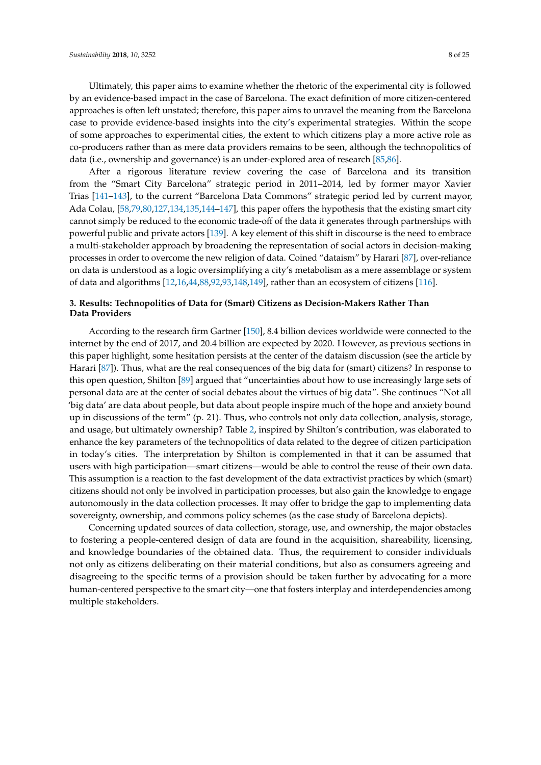Ultimately, this paper aims to examine whether the rhetoric of the experimental city is followed by an evidence-based impact in the case of Barcelona. The exact definition of more citizen-centered approaches is often left unstated; therefore, this paper aims to unravel the meaning from the Barcelona case to provide evidence-based insights into the city's experimental strategies. Within the scope of some approaches to experimental cities, the extent to which citizens play a more active role as co-producers rather than as mere data providers remains to be seen, although the technopolitics of data (i.e., ownership and governance) is an under-explored area of research [\[85,](#page-21-18)[86\]](#page-21-19).

After a rigorous literature review covering the case of Barcelona and its transition from the "Smart City Barcelona" strategic period in 2011–2014, led by former mayor Xavier Trias [\[141–](#page-23-11)[143\]](#page-23-12), to the current "Barcelona Data Commons" strategic period led by current mayor, Ada Colau, [\[58,](#page-20-9)[79,](#page-21-20)[80,](#page-21-4)[127](#page-22-21)[,134](#page-23-5)[,135](#page-23-6)[,144–](#page-23-13)[147\]](#page-23-14), this paper offers the hypothesis that the existing smart city cannot simply be reduced to the economic trade-off of the data it generates through partnerships with powerful public and private actors [\[139\]](#page-23-9). A key element of this shift in discourse is the need to embrace a multi-stakeholder approach by broadening the representation of social actors in decision-making processes in order to overcome the new religion of data. Coined "dataism" by Harari [\[87\]](#page-21-21), over-reliance on data is understood as a logic oversimplifying a city's metabolism as a mere assemblage or system of data and algorithms [\[12](#page-18-15)[,16](#page-18-17)[,44](#page-19-14)[,88](#page-21-22)[,92](#page-21-23)[,93,](#page-21-6)[148,](#page-23-15)[149\]](#page-23-16), rather than an ecosystem of citizens [\[116\]](#page-22-9).

# **3. Results: Technopolitics of Data for (Smart) Citizens as Decision-Makers Rather Than Data Providers**

According to the research firm Gartner [\[150\]](#page-23-17), 8.4 billion devices worldwide were connected to the internet by the end of 2017, and 20.4 billion are expected by 2020. However, as previous sections in this paper highlight, some hesitation persists at the center of the dataism discussion (see the article by Harari [\[87\]](#page-21-21)). Thus, what are the real consequences of the big data for (smart) citizens? In response to this open question, Shilton [\[89\]](#page-21-24) argued that "uncertainties about how to use increasingly large sets of personal data are at the center of social debates about the virtues of big data". She continues "Not all 'big data' are data about people, but data about people inspire much of the hope and anxiety bound up in discussions of the term" (p. 21). Thus, who controls not only data collection, analysis, storage, and usage, but ultimately ownership? Table [2,](#page-8-0) inspired by Shilton's contribution, was elaborated to enhance the key parameters of the technopolitics of data related to the degree of citizen participation in today's cities. The interpretation by Shilton is complemented in that it can be assumed that users with high participation—smart citizens—would be able to control the reuse of their own data. This assumption is a reaction to the fast development of the data extractivist practices by which (smart) citizens should not only be involved in participation processes, but also gain the knowledge to engage autonomously in the data collection processes. It may offer to bridge the gap to implementing data sovereignty, ownership, and commons policy schemes (as the case study of Barcelona depicts).

Concerning updated sources of data collection, storage, use, and ownership, the major obstacles to fostering a people-centered design of data are found in the acquisition, shareability, licensing, and knowledge boundaries of the obtained data. Thus, the requirement to consider individuals not only as citizens deliberating on their material conditions, but also as consumers agreeing and disagreeing to the specific terms of a provision should be taken further by advocating for a more human-centered perspective to the smart city—one that fosters interplay and interdependencies among multiple stakeholders.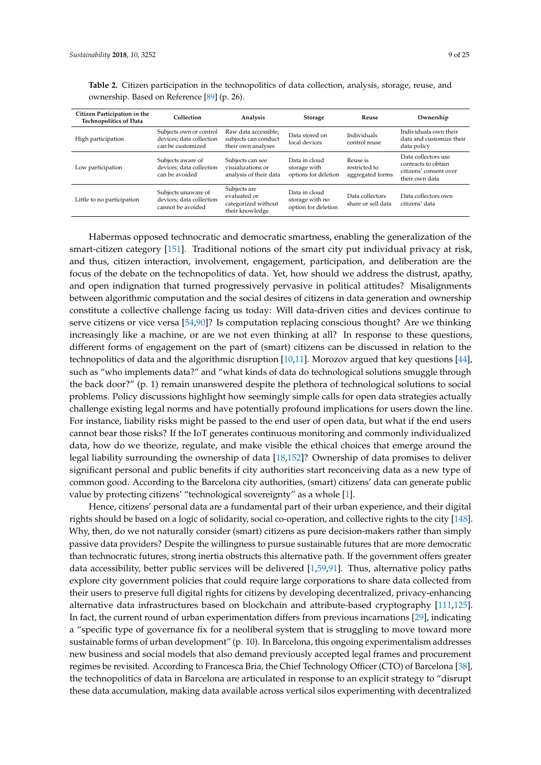| Citizen Participation in the<br><b>Technopolitics of Data</b> | Collection                                                               | Analysis                                                               | <b>Storage</b>                                          | Reuse                                         | Ownership                                                                              |
|---------------------------------------------------------------|--------------------------------------------------------------------------|------------------------------------------------------------------------|---------------------------------------------------------|-----------------------------------------------|----------------------------------------------------------------------------------------|
| High participation                                            | Subjects own or control<br>devices; data collection<br>can be customized | Raw data accessible:<br>subjects can conduct<br>their own analyses     | Data stored on<br>local devices                         | Individuals<br>control reuse                  | Individuals own their<br>data and customize their<br>data policy                       |
| Low participation                                             | Subjects aware of<br>devices: data collection<br>can be avoided          | Subjects can see<br>visualizations or<br>analysis of their data        | Data in cloud<br>storage with<br>options for deletion   | Reuse is<br>restricted to<br>aggregated forms | Data collectors use<br>contracts to obtain<br>citizens' consent over<br>their own data |
| Little to no participation                                    | Subjects unaware of<br>devices; data collection<br>cannot be avoided     | Subjects are<br>evaluated or<br>categorized without<br>their knowledge | Data in cloud<br>storage with no<br>option for deletion | Data collectors<br>share or sell data         | Data collectors own<br>citizens' data                                                  |

<span id="page-8-0"></span>**Table 2.** Citizen participation in the technopolitics of data collection, analysis, storage, reuse, and ownership. Based on Reference [\[89\]](#page-21-24) (p. 26).

Habermas opposed technocratic and democratic smartness, enabling the generalization of the smart-citizen category [\[151\]](#page-23-18). Traditional notions of the smart city put individual privacy at risk, and thus, citizen interaction, involvement, engagement, participation, and deliberation are the focus of the debate on the technopolitics of data. Yet, how should we address the distrust, apathy, and open indignation that turned progressively pervasive in political attitudes? Misalignments between algorithmic computation and the social desires of citizens in data generation and ownership constitute a collective challenge facing us today: Will data-driven cities and devices continue to serve citizens or vice versa [\[54,](#page-20-6)[90\]](#page-21-25)? Is computation replacing conscious thought? Are we thinking increasingly like a machine, or are we not even thinking at all? In response to these questions, different forms of engagement on the part of (smart) citizens can be discussed in relation to the technopolitics of data and the algorithmic disruption [\[10](#page-18-7)[,11\]](#page-18-16). Morozov argued that key questions [\[44\]](#page-19-14), such as "who implements data?" and "what kinds of data do technological solutions smuggle through the back door?" (p. 1) remain unanswered despite the plethora of technological solutions to social problems. Policy discussions highlight how seemingly simple calls for open data strategies actually challenge existing legal norms and have potentially profound implications for users down the line. For instance, liability risks might be passed to the end user of open data, but what if the end users cannot bear those risks? If the IoT generates continuous monitoring and commonly individualized data, how do we theorize, regulate, and make visible the ethical choices that emerge around the legal liability surrounding the ownership of data [\[18](#page-18-9)[,152\]](#page-23-19)? Ownership of data promises to deliver significant personal and public benefits if city authorities start reconceiving data as a new type of common good. According to the Barcelona city authorities, (smart) citizens' data can generate public value by protecting citizens' "technological sovereignty" as a whole [\[1\]](#page-18-0).

Hence, citizens' personal data are a fundamental part of their urban experience, and their digital rights should be based on a logic of solidarity, social co-operation, and collective rights to the city [\[148\]](#page-23-15). Why, then, do we not naturally consider (smart) citizens as pure decision-makers rather than simply passive data providers? Despite the willingness to pursue sustainable futures that are more democratic than technocratic futures, strong inertia obstructs this alternative path. If the government offers greater data accessibility, better public services will be delivered [\[1,](#page-18-0)[59,](#page-20-10)[91\]](#page-21-26). Thus, alternative policy paths explore city government policies that could require large corporations to share data collected from their users to preserve full digital rights for citizens by developing decentralized, privacy-enhancing alternative data infrastructures based on blockchain and attribute-based cryptography [\[111,](#page-22-4)[125\]](#page-22-19). In fact, the current round of urban experimentation differs from previous incarnations [\[29\]](#page-19-3), indicating a "specific type of governance fix for a neoliberal system that is struggling to move toward more sustainable forms of urban development" (p. 10). In Barcelona, this ongoing experimentalism addresses new business and social models that also demand previously accepted legal frames and procurement regimes be revisited. According to Francesca Bria, the Chief Technology Officer (CTO) of Barcelona [\[38\]](#page-19-11), the technopolitics of data in Barcelona are articulated in response to an explicit strategy to "disrupt these data accumulation, making data available across vertical silos experimenting with decentralized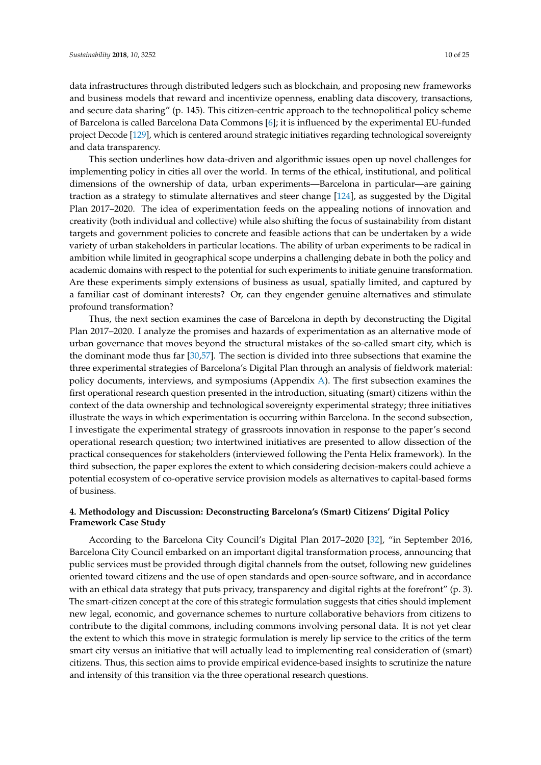data infrastructures through distributed ledgers such as blockchain, and proposing new frameworks and business models that reward and incentivize openness, enabling data discovery, transactions, and secure data sharing" (p. 145). This citizen-centric approach to the technopolitical policy scheme of Barcelona is called Barcelona Data Commons [\[6\]](#page-18-4); it is influenced by the experimental EU-funded project Decode [\[129\]](#page-23-1), which is centered around strategic initiatives regarding technological sovereignty and data transparency.

This section underlines how data-driven and algorithmic issues open up novel challenges for implementing policy in cities all over the world. In terms of the ethical, institutional, and political dimensions of the ownership of data, urban experiments—Barcelona in particular—are gaining traction as a strategy to stimulate alternatives and steer change [\[124\]](#page-22-18), as suggested by the Digital Plan 2017–2020. The idea of experimentation feeds on the appealing notions of innovation and creativity (both individual and collective) while also shifting the focus of sustainability from distant targets and government policies to concrete and feasible actions that can be undertaken by a wide variety of urban stakeholders in particular locations. The ability of urban experiments to be radical in ambition while limited in geographical scope underpins a challenging debate in both the policy and academic domains with respect to the potential for such experiments to initiate genuine transformation. Are these experiments simply extensions of business as usual, spatially limited, and captured by a familiar cast of dominant interests? Or, can they engender genuine alternatives and stimulate profound transformation?

Thus, the next section examines the case of Barcelona in depth by deconstructing the Digital Plan 2017–2020. I analyze the promises and hazards of experimentation as an alternative mode of urban governance that moves beyond the structural mistakes of the so-called smart city, which is the dominant mode thus far [\[30](#page-19-17)[,57\]](#page-20-8). The section is divided into three subsections that examine the three experimental strategies of Barcelona's Digital Plan through an analysis of fieldwork material: policy documents, interviews, and symposiums (Appendix [A\)](#page-17-0). The first subsection examines the first operational research question presented in the introduction, situating (smart) citizens within the context of the data ownership and technological sovereignty experimental strategy; three initiatives illustrate the ways in which experimentation is occurring within Barcelona. In the second subsection, I investigate the experimental strategy of grassroots innovation in response to the paper's second operational research question; two intertwined initiatives are presented to allow dissection of the practical consequences for stakeholders (interviewed following the Penta Helix framework). In the third subsection, the paper explores the extent to which considering decision-makers could achieve a potential ecosystem of co-operative service provision models as alternatives to capital-based forms of business.

# **4. Methodology and Discussion: Deconstructing Barcelona's (Smart) Citizens' Digital Policy Framework Case Study**

According to the Barcelona City Council's Digital Plan 2017–2020 [\[32\]](#page-19-5), "in September 2016, Barcelona City Council embarked on an important digital transformation process, announcing that public services must be provided through digital channels from the outset, following new guidelines oriented toward citizens and the use of open standards and open-source software, and in accordance with an ethical data strategy that puts privacy, transparency and digital rights at the forefront" (p. 3). The smart-citizen concept at the core of this strategic formulation suggests that cities should implement new legal, economic, and governance schemes to nurture collaborative behaviors from citizens to contribute to the digital commons, including commons involving personal data. It is not yet clear the extent to which this move in strategic formulation is merely lip service to the critics of the term smart city versus an initiative that will actually lead to implementing real consideration of (smart) citizens. Thus, this section aims to provide empirical evidence-based insights to scrutinize the nature and intensity of this transition via the three operational research questions.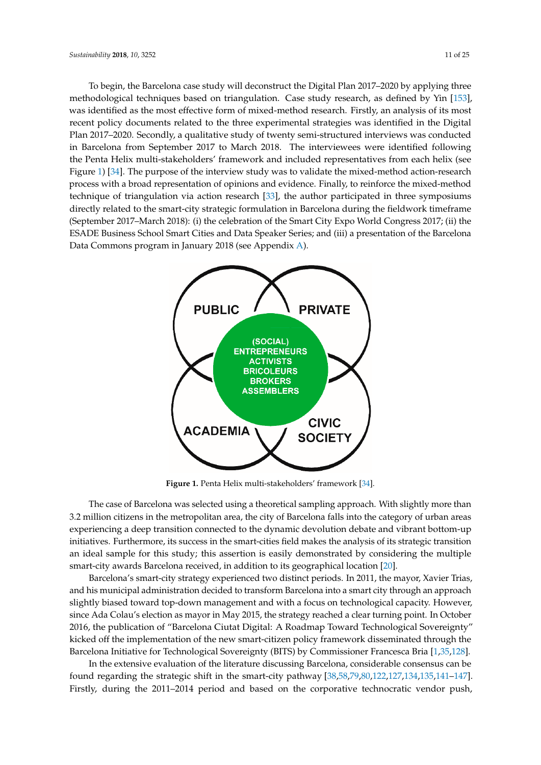To begin, the Barcelona case study will deconstruct the Digital Plan 2017–2020 by applying three methodological techniques based on triangulation. Case study research, as defined by Yin [\[153\]](#page-23-20), was identified as the most effective form of mixed-method research. Firstly, an analysis of its most recent policy documents related to the three experimental strategies was identified in the Digital Plan 2017–2020. Secondly, a qualitative study of twenty semi-structured interviews was conducted in Barcelona from September 2017 to March 2018. The interviewees were identified following the Penta Helix multi-stakeholders' framework and included representatives from each helix (see Figure [1\)](#page-10-0) [\[34\]](#page-19-7). The purpose of the interview study was to validate the mixed-method action-research process with a broad representation of opinions and evidence. Finally, to reinforce the mixed-method process which even representation or opinions and evidence. Finally, to relate the mixed-method technique of triangulation via action research [\[33\]](#page-19-6), the author participated in three symposiums directly related to the smart-city strategic formulation in Barcelona during the fieldwork timeframe (September 2017–March 2018): (i) the celebration of the Smart City Expo World Congress 2017; (ii) the ESADE Business School Smart Cities and Data Speaker Series; and (iii) a presentation of the Barcelona Data Commons program in January 2018 (see Appendix [A\)](#page-17-0). nature and intensity of this transition via the three operational research questions. triangulation via action research [33], the author participated in three symposiums directly related to

<span id="page-10-0"></span>

**Figure 1.** Penta Helix multi-stakeholders' framework [34]. **Figure 1.** Penta Helix multi-stakeholders' framework [\[34\]](#page-19-7).

The case of Barcelona was selected using a theoretical sampling approach. With slightly more than 3.2 million citizens in the metropolitan area, the city of Barcelona falls into the category of urban areas experiencing a deep transition connected to the dynamic devolution debate and vibrant bottom-up initiatives. Furthermore, its success in the smart-cities field makes the analysis of its strategic transition an ideal sample for this study; this assertion is easily demonstrated by considering the multiple smart-city awards Barcelona received, in addition to its geographical location [\[20\]](#page-18-11).

Barcelona's smart-city strategy experienced two distinct periods. In 2011, the mayor, Xavier Trias, and his municipal administration decided to transform Barcelona into a smart city through an approach slightly biased toward top-down management and with a focus on technological capacity. However, since Ada Colau's election as mayor in May 2015, the strategy reached a clear turning point. In October 2016, the publication of "Barcelona Ciutat Digital: A Roadmap Toward Technological Sovereignty" kicked off the implementation of the new smart-citizen policy framework disseminated through the Barcelona Initiative for Technological Sovereignty (BITS) by Commissioner Francesca Bria [\[1,](#page-18-0)[35,](#page-19-8)[128\]](#page-23-0).

In the extensive evaluation of the literature discussing Barcelona, considerable consensus can be found regarding the strategic shift in the smart-city pathway [\[38,](#page-19-11)[58,](#page-20-9)[79,](#page-21-20)[80,](#page-21-4)[122](#page-22-16)[,127](#page-22-21)[,134](#page-23-5)[,135](#page-23-6)[,141–](#page-23-11)[147\]](#page-23-14). Firstly, during the 2011–2014 period and based on the corporative technocratic vendor push,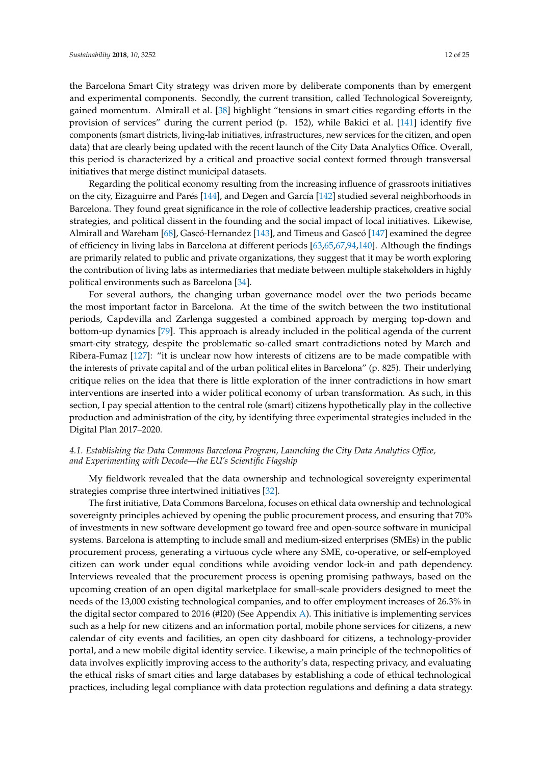the Barcelona Smart City strategy was driven more by deliberate components than by emergent and experimental components. Secondly, the current transition, called Technological Sovereignty, gained momentum. Almirall et al. [\[38\]](#page-19-11) highlight "tensions in smart cities regarding efforts in the provision of services" during the current period (p. 152), while Bakici et al. [\[141\]](#page-23-11) identify five components (smart districts, living-lab initiatives, infrastructures, new services for the citizen, and open data) that are clearly being updated with the recent launch of the City Data Analytics Office. Overall, this period is characterized by a critical and proactive social context formed through transversal initiatives that merge distinct municipal datasets.

<span id="page-11-0"></span>Regarding the political economy resulting from the increasing influence of grassroots initiatives on the city, Eizaguirre and Parés [\[144\]](#page-23-13), and Degen and García [\[142\]](#page-23-21) studied several neighborhoods in Barcelona. They found great significance in the role of collective leadership practices, creative social strategies, and political dissent in the founding and the social impact of local initiatives. Likewise, Almirall and Wareham [\[68\]](#page-20-16), Gascó-Hernandez [\[143\]](#page-23-12), and Timeus and Gascó [\[147\]](#page-23-14) examined the degree of efficiency in living labs in Barcelona at different periods [\[63,](#page-20-12)[65,](#page-20-15)[67,](#page-20-18)[94,](#page-21-7)[140\]](#page-23-10). Although the findings are primarily related to public and private organizations, they suggest that it may be worth exploring the contribution of living labs as intermediaries that mediate between multiple stakeholders in highly political environments such as Barcelona [\[34\]](#page-19-7).

For several authors, the changing urban governance model over the two periods became the most important factor in Barcelona. At the time of the switch between the two institutional periods, Capdevilla and Zarlenga suggested a combined approach by merging top-down and bottom-up dynamics [\[79\]](#page-21-20). This approach is already included in the political agenda of the current smart-city strategy, despite the problematic so-called smart contradictions noted by March and Ribera-Fumaz [\[127\]](#page-22-21): "it is unclear now how interests of citizens are to be made compatible with the interests of private capital and of the urban political elites in Barcelona" (p. 825). Their underlying critique relies on the idea that there is little exploration of the inner contradictions in how smart interventions are inserted into a wider political economy of urban transformation. As such, in this section, I pay special attention to the central role (smart) citizens hypothetically play in the collective production and administration of the city, by identifying three experimental strategies included in the Digital Plan 2017–2020.

## *4.1. Establishing the Data Commons Barcelona Program, Launching the City Data Analytics Office, and Experimenting with Decode—the EU's Scientific Flagship*

My fieldwork revealed that the data ownership and technological sovereignty experimental strategies comprise three intertwined initiatives [\[32\]](#page-19-5).

The first initiative, Data Commons Barcelona, focuses on ethical data ownership and technological sovereignty principles achieved by opening the public procurement process, and ensuring that 70% of investments in new software development go toward free and open-source software in municipal systems. Barcelona is attempting to include small and medium-sized enterprises (SMEs) in the public procurement process, generating a virtuous cycle where any SME, co-operative, or self-employed citizen can work under equal conditions while avoiding vendor lock-in and path dependency. Interviews revealed that the procurement process is opening promising pathways, based on the upcoming creation of an open digital marketplace for small-scale providers designed to meet the needs of the 13,000 existing technological companies, and to offer employment increases of 26.3% in the digital sector compared to 2016 (#I20) (See Appendix  $\Delta$ ). This initiative is implementing services such as a help for new citizens and an information portal, mobile phone services for citizens, a new calendar of city events and facilities, an open city dashboard for citizens, a technology-provider portal, and a new mobile digital identity service. Likewise, a main principle of the technopolitics of data involves explicitly improving access to the authority's data, respecting privacy, and evaluating the ethical risks of smart cities and large databases by establishing a code of ethical technological practices, including legal compliance with data protection regulations and defining a data strategy.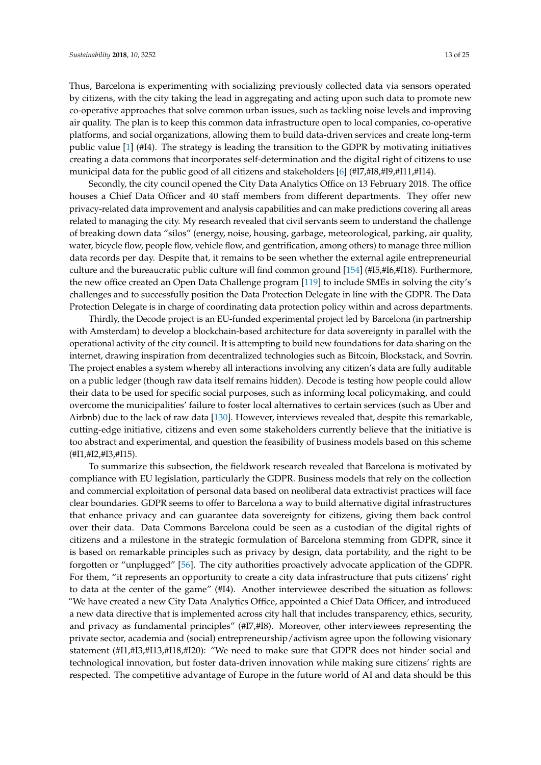Thus, Barcelona is experimenting with socializing previously collected data via sensors operated by citizens, with the city taking the lead in aggregating and acting upon such data to promote new co-operative approaches that solve common urban issues, such as tackling noise levels and improving air quality. The plan is to keep this common data infrastructure open to local companies, co-operative platforms, and social organizations, allowing them to build data-driven services and create long-term public value [\[1\]](#page-18-0) (#I4). The strategy is leading the transition to the GDPR by motivating initiatives creating a data commons that incorporates self-determination and the digital right of citizens to use municipal data for the public good of all citizens and stakeholders [\[6\]](#page-18-4) (#I7,#I8,#I9,#I11,#I14).

Secondly, the city council opened the City Data Analytics Office on 13 February 2018. The office houses a Chief Data Officer and 40 staff members from different departments. They offer new privacy-related data improvement and analysis capabilities and can make predictions covering all areas related to managing the city. My research revealed that civil servants seem to understand the challenge of breaking down data "silos" (energy, noise, housing, garbage, meteorological, parking, air quality, water, bicycle flow, people flow, vehicle flow, and gentrification, among others) to manage three million data records per day. Despite that, it remains to be seen whether the external agile entrepreneurial culture and the bureaucratic public culture will find common ground [\[154\]](#page-24-0) (#I5,#I6,#I18). Furthermore, the new office created an Open Data Challenge program [\[119\]](#page-22-12) to include SMEs in solving the city's challenges and to successfully position the Data Protection Delegate in line with the GDPR. The Data Protection Delegate is in charge of coordinating data protection policy within and across departments.

Thirdly, the Decode project is an EU-funded experimental project led by Barcelona (in partnership with Amsterdam) to develop a blockchain-based architecture for data sovereignty in parallel with the operational activity of the city council. It is attempting to build new foundations for data sharing on the internet, drawing inspiration from decentralized technologies such as Bitcoin, Blockstack, and Sovrin. The project enables a system whereby all interactions involving any citizen's data are fully auditable on a public ledger (though raw data itself remains hidden). Decode is testing how people could allow their data to be used for specific social purposes, such as informing local policymaking, and could overcome the municipalities' failure to foster local alternatives to certain services (such as Uber and Airbnb) due to the lack of raw data [\[130\]](#page-23-2). However, interviews revealed that, despite this remarkable, cutting-edge initiative, citizens and even some stakeholders currently believe that the initiative is too abstract and experimental, and question the feasibility of business models based on this scheme (#I1,#I2,#I3,#I15).

To summarize this subsection, the fieldwork research revealed that Barcelona is motivated by compliance with EU legislation, particularly the GDPR. Business models that rely on the collection and commercial exploitation of personal data based on neoliberal data extractivist practices will face clear boundaries. GDPR seems to offer to Barcelona a way to build alternative digital infrastructures that enhance privacy and can guarantee data sovereignty for citizens, giving them back control over their data. Data Commons Barcelona could be seen as a custodian of the digital rights of citizens and a milestone in the strategic formulation of Barcelona stemming from GDPR, since it is based on remarkable principles such as privacy by design, data portability, and the right to be forgotten or "unplugged" [\[56\]](#page-20-7). The city authorities proactively advocate application of the GDPR. For them, "it represents an opportunity to create a city data infrastructure that puts citizens' right to data at the center of the game" (#I4). Another interviewee described the situation as follows: "We have created a new City Data Analytics Office, appointed a Chief Data Officer, and introduced a new data directive that is implemented across city hall that includes transparency, ethics, security, and privacy as fundamental principles" (#I7,#I8). Moreover, other interviewees representing the private sector, academia and (social) entrepreneurship/activism agree upon the following visionary statement (#I1,#I3,#I13,#I18,#I20): "We need to make sure that GDPR does not hinder social and technological innovation, but foster data-driven innovation while making sure citizens' rights are respected. The competitive advantage of Europe in the future world of AI and data should be this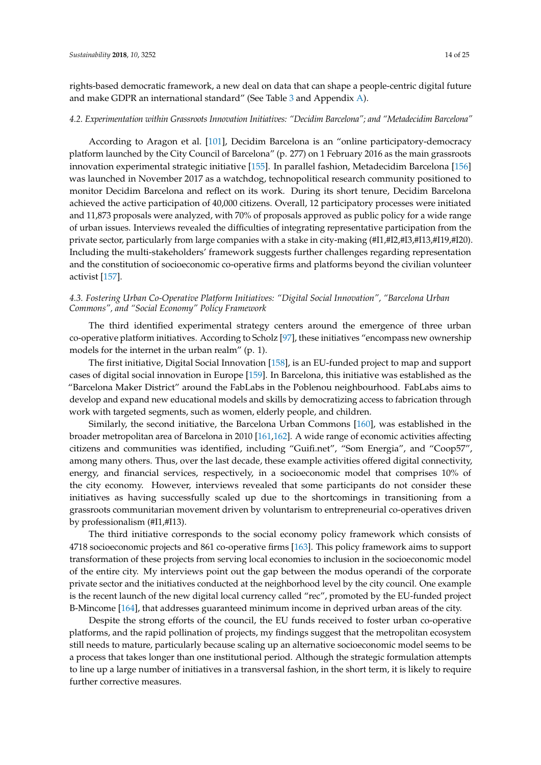<span id="page-13-1"></span><span id="page-13-0"></span>rights-based democratic framework, a new deal on data that can shape a people-centric digital future and make GDPR an international standard" (See Table [3](#page-14-0) and Appendix [A\)](#page-17-0).

#### *4.2. Experimentation within Grassroots Innovation Initiatives: "Decidim Barcelona"; and "Metadecidim Barcelona"*

According to Aragon et al. [\[101\]](#page-22-23), Decidim Barcelona is an "online participatory-democracy platform launched by the City Council of Barcelona" (p. 277) on 1 February 2016 as the main grassroots innovation experimental strategic initiative [\[155\]](#page-24-1). In parallel fashion, Metadecidim Barcelona [\[156\]](#page-24-2) was launched in November 2017 as a watchdog, technopolitical research community positioned to monitor Decidim Barcelona and reflect on its work. During its short tenure, Decidim Barcelona achieved the active participation of 40,000 citizens. Overall, 12 participatory processes were initiated and 11,873 proposals were analyzed, with 70% of proposals approved as public policy for a wide range of urban issues. Interviews revealed the difficulties of integrating representative participation from the private sector, particularly from large companies with a stake in city-making (#I1,#I2,#I3,#I13,#I19,#I20). Including the multi-stakeholders' framework suggests further challenges regarding representation and the constitution of socioeconomic co-operative firms and platforms beyond the civilian volunteer activist [\[157\]](#page-24-3).

### *4.3. Fostering Urban Co-Operative Platform Initiatives: "Digital Social Innovation", "Barcelona Urban Commons", and "Social Economy" Policy Framework*

The third identified experimental strategy centers around the emergence of three urban co-operative platform initiatives. According to Scholz [\[97\]](#page-21-10), these initiatives "encompass new ownership models for the internet in the urban realm" (p. 1).

The first initiative, Digital Social Innovation [\[158\]](#page-24-4), is an EU-funded project to map and support cases of digital social innovation in Europe [\[159\]](#page-24-5). In Barcelona, this initiative was established as the "Barcelona Maker District" around the FabLabs in the Poblenou neighbourhood. FabLabs aims to develop and expand new educational models and skills by democratizing access to fabrication through work with targeted segments, such as women, elderly people, and children.

Similarly, the second initiative, the Barcelona Urban Commons [\[160\]](#page-24-6), was established in the broader metropolitan area of Barcelona in 2010 [\[161,](#page-24-7)[162\]](#page-24-8). A wide range of economic activities affecting citizens and communities was identified, including "Guifi.net", "Som Energia", and "Coop57", among many others. Thus, over the last decade, these example activities offered digital connectivity, energy, and financial services, respectively, in a socioeconomic model that comprises 10% of the city economy. However, interviews revealed that some participants do not consider these initiatives as having successfully scaled up due to the shortcomings in transitioning from a grassroots communitarian movement driven by voluntarism to entrepreneurial co-operatives driven by professionalism (#I1,#I13).

The third initiative corresponds to the social economy policy framework which consists of 4718 socioeconomic projects and 861 co-operative firms [\[163\]](#page-24-9). This policy framework aims to support transformation of these projects from serving local economies to inclusion in the socioeconomic model of the entire city. My interviews point out the gap between the modus operandi of the corporate private sector and the initiatives conducted at the neighborhood level by the city council. One example is the recent launch of the new digital local currency called "rec", promoted by the EU-funded project B-Mincome [\[164\]](#page-24-10), that addresses guaranteed minimum income in deprived urban areas of the city.

Despite the strong efforts of the council, the EU funds received to foster urban co-operative platforms, and the rapid pollination of projects, my findings suggest that the metropolitan ecosystem still needs to mature, particularly because scaling up an alternative socioeconomic model seems to be a process that takes longer than one institutional period. Although the strategic formulation attempts to line up a large number of initiatives in a transversal fashion, in the short term, it is likely to require further corrective measures.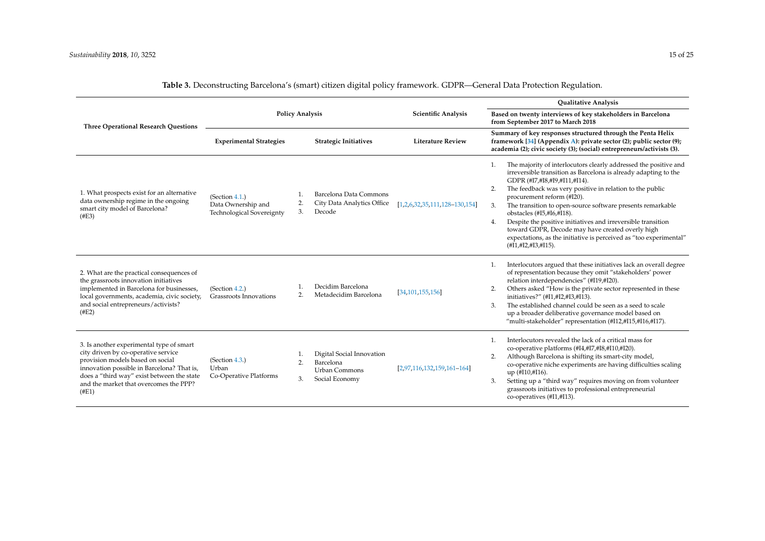<span id="page-14-0"></span>

|                                                                                                                                                                                                                                                                    |                                                                   |                                                                                              |                                 | <b>Qualitative Analysis</b>                                                                                                                                                                                                                                                                                                                                                                                                                                                                                                                                                                          |  |
|--------------------------------------------------------------------------------------------------------------------------------------------------------------------------------------------------------------------------------------------------------------------|-------------------------------------------------------------------|----------------------------------------------------------------------------------------------|---------------------------------|------------------------------------------------------------------------------------------------------------------------------------------------------------------------------------------------------------------------------------------------------------------------------------------------------------------------------------------------------------------------------------------------------------------------------------------------------------------------------------------------------------------------------------------------------------------------------------------------------|--|
| <b>Three Operational Research Questions</b>                                                                                                                                                                                                                        | <b>Policy Analysis</b>                                            |                                                                                              | <b>Scientific Analysis</b>      | Based on twenty interviews of key stakeholders in Barcelona<br>from September 2017 to March 2018                                                                                                                                                                                                                                                                                                                                                                                                                                                                                                     |  |
|                                                                                                                                                                                                                                                                    | <b>Experimental Strategies</b><br><b>Strategic Initiatives</b>    |                                                                                              | <b>Literature Review</b>        | Summary of key responses structured through the Penta Helix<br>framework [34] (Appendix A): private sector (2); public sector (9);<br>academia (2); civic society (3); (social) entrepreneurs/activists (3).                                                                                                                                                                                                                                                                                                                                                                                         |  |
| 1. What prospects exist for an alternative<br>data ownership regime in the ongoing<br>smart city model of Barcelona?<br>(#E3)                                                                                                                                      | (Section 4.1.)<br>Data Ownership and<br>Technological Sovereignty | Barcelona Data Commons<br>City Data Analytics Office<br>2.<br>3.<br>Decode                   | $[1,2,6,32,35,111,128-130,154]$ | The majority of interlocutors clearly addressed the positive and<br>1.<br>irreversible transition as Barcelona is already adapting to the<br>GDPR (#I7,#I8,#I9,#I11,#I14).<br>The feedback was very positive in relation to the public<br>2.<br>procurement reform (#I20).<br>The transition to open-source software presents remarkable<br>3.<br>obstacles (#I5,#I6,#I18).<br>Despite the positive initiatives and irreversible transition<br>4.<br>toward GDPR, Decode may have created overly high<br>expectations, as the initiative is perceived as "too experimental"<br>(HI, #I2, #I3, #I15). |  |
| 2. What are the practical consequences of<br>the grassroots innovation initiatives<br>implemented in Barcelona for businesses,<br>local governments, academia, civic society,<br>and social entrepreneurs/activists?<br>$($ #E2 $)$                                | (Section 4.2.)<br>Grassroots Innovations                          | Decidim Barcelona<br>Metadecidim Barcelona<br>2.                                             | 34, 101, 155, 156               | Interlocutors argued that these initiatives lack an overall degree<br>1.<br>of representation because they omit "stakeholders' power<br>relation interdependencies" (#I19,#I20).<br>Others asked "How is the private sector represented in these<br>2.<br>initiatives?" (#I1,#I2,#I3,#I13).<br>The established channel could be seen as a seed to scale<br>3.<br>up a broader deliberative governance model based on<br>"multi-stakeholder" representation (#I12,#I15,#I16,#I17).                                                                                                                    |  |
| 3. Is another experimental type of smart<br>city driven by co-operative service<br>provision models based on social<br>innovation possible in Barcelona? That is,<br>does a "third way" exist between the state<br>and the market that overcomes the PPP?<br>(#E1) | (Section 4.3.)<br>Urban<br>Co-Operative Platforms                 | Digital Social Innovation<br>Barcelona<br>2.<br><b>Urban Commons</b><br>Social Economy<br>3. | $[2,97,116,132,159,161-164]$    | Interlocutors revealed the lack of a critical mass for<br>co-operative platforms (#I4,#I7,#I8,#I10,#I20).<br>Although Barcelona is shifting its smart-city model,<br>$\overline{2}$ .<br>co-operative niche experiments are having difficulties scaling<br>up (#I10,#I16).<br>Setting up a "third way" requires moving on from volunteer<br>3.<br>grassroots initiatives to professional entrepreneurial<br>co-operatives (#I1,#I13).                                                                                                                                                                |  |

**Table 3.** Deconstructing Barcelona's (smart) citizen digital policy framework. GDPR—General Data Protection Regulation.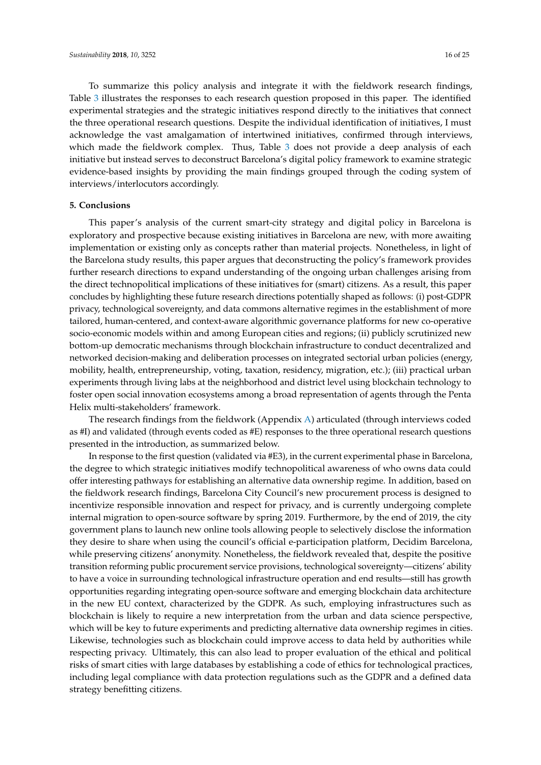To summarize this policy analysis and integrate it with the fieldwork research findings, Table [3](#page-14-0) illustrates the responses to each research question proposed in this paper. The identified experimental strategies and the strategic initiatives respond directly to the initiatives that connect the three operational research questions. Despite the individual identification of initiatives, I must acknowledge the vast amalgamation of intertwined initiatives, confirmed through interviews, which made the fieldwork complex. Thus, Table [3](#page-14-0) does not provide a deep analysis of each initiative but instead serves to deconstruct Barcelona's digital policy framework to examine strategic evidence-based insights by providing the main findings grouped through the coding system of interviews/interlocutors accordingly.

#### **5. Conclusions**

This paper's analysis of the current smart-city strategy and digital policy in Barcelona is exploratory and prospective because existing initiatives in Barcelona are new, with more awaiting implementation or existing only as concepts rather than material projects. Nonetheless, in light of the Barcelona study results, this paper argues that deconstructing the policy's framework provides further research directions to expand understanding of the ongoing urban challenges arising from the direct technopolitical implications of these initiatives for (smart) citizens. As a result, this paper concludes by highlighting these future research directions potentially shaped as follows: (i) post-GDPR privacy, technological sovereignty, and data commons alternative regimes in the establishment of more tailored, human-centered, and context-aware algorithmic governance platforms for new co-operative socio-economic models within and among European cities and regions; (ii) publicly scrutinized new bottom-up democratic mechanisms through blockchain infrastructure to conduct decentralized and networked decision-making and deliberation processes on integrated sectorial urban policies (energy, mobility, health, entrepreneurship, voting, taxation, residency, migration, etc.); (iii) practical urban experiments through living labs at the neighborhood and district level using blockchain technology to foster open social innovation ecosystems among a broad representation of agents through the Penta Helix multi-stakeholders' framework.

The research findings from the fieldwork (Appendix [A\)](#page-17-0) articulated (through interviews coded as #I) and validated (through events coded as #E) responses to the three operational research questions presented in the introduction, as summarized below.

In response to the first question (validated via #E3), in the current experimental phase in Barcelona, the degree to which strategic initiatives modify technopolitical awareness of who owns data could offer interesting pathways for establishing an alternative data ownership regime. In addition, based on the fieldwork research findings, Barcelona City Council's new procurement process is designed to incentivize responsible innovation and respect for privacy, and is currently undergoing complete internal migration to open-source software by spring 2019. Furthermore, by the end of 2019, the city government plans to launch new online tools allowing people to selectively disclose the information they desire to share when using the council's official e-participation platform, Decidim Barcelona, while preserving citizens' anonymity. Nonetheless, the fieldwork revealed that, despite the positive transition reforming public procurement service provisions, technological sovereignty—citizens' ability to have a voice in surrounding technological infrastructure operation and end results—still has growth opportunities regarding integrating open-source software and emerging blockchain data architecture in the new EU context, characterized by the GDPR. As such, employing infrastructures such as blockchain is likely to require a new interpretation from the urban and data science perspective, which will be key to future experiments and predicting alternative data ownership regimes in cities. Likewise, technologies such as blockchain could improve access to data held by authorities while respecting privacy. Ultimately, this can also lead to proper evaluation of the ethical and political risks of smart cities with large databases by establishing a code of ethics for technological practices, including legal compliance with data protection regulations such as the GDPR and a defined data strategy benefitting citizens.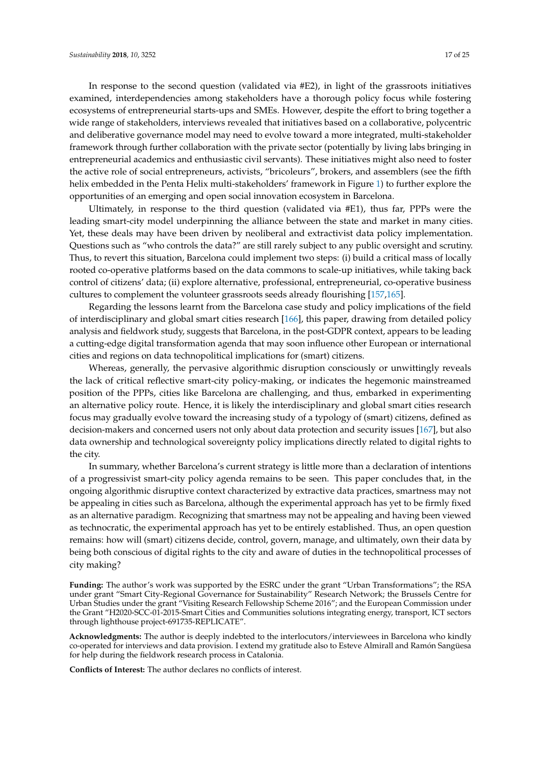In response to the second question (validated via #E2), in light of the grassroots initiatives examined, interdependencies among stakeholders have a thorough policy focus while fostering ecosystems of entrepreneurial starts-ups and SMEs. However, despite the effort to bring together a wide range of stakeholders, interviews revealed that initiatives based on a collaborative, polycentric and deliberative governance model may need to evolve toward a more integrated, multi-stakeholder framework through further collaboration with the private sector (potentially by living labs bringing in entrepreneurial academics and enthusiastic civil servants). These initiatives might also need to foster the active role of social entrepreneurs, activists, "bricoleurs", brokers, and assemblers (see the fifth helix embedded in the Penta Helix multi-stakeholders' framework in Figure [1\)](#page-10-0) to further explore the opportunities of an emerging and open social innovation ecosystem in Barcelona.

Ultimately, in response to the third question (validated via #E1), thus far, PPPs were the leading smart-city model underpinning the alliance between the state and market in many cities. Yet, these deals may have been driven by neoliberal and extractivist data policy implementation. Questions such as "who controls the data?" are still rarely subject to any public oversight and scrutiny. Thus, to revert this situation, Barcelona could implement two steps: (i) build a critical mass of locally rooted co-operative platforms based on the data commons to scale-up initiatives, while taking back control of citizens' data; (ii) explore alternative, professional, entrepreneurial, co-operative business cultures to complement the volunteer grassroots seeds already flourishing [\[157,](#page-24-3)[165\]](#page-24-17).

Regarding the lessons learnt from the Barcelona case study and policy implications of the field of interdisciplinary and global smart cities research [\[166\]](#page-24-18), this paper, drawing from detailed policy analysis and fieldwork study, suggests that Barcelona, in the post-GDPR context, appears to be leading a cutting-edge digital transformation agenda that may soon influence other European or international cities and regions on data technopolitical implications for (smart) citizens.

Whereas, generally, the pervasive algorithmic disruption consciously or unwittingly reveals the lack of critical reflective smart-city policy-making, or indicates the hegemonic mainstreamed position of the PPPs, cities like Barcelona are challenging, and thus, embarked in experimenting an alternative policy route. Hence, it is likely the interdisciplinary and global smart cities research focus may gradually evolve toward the increasing study of a typology of (smart) citizens, defined as decision-makers and concerned users not only about data protection and security issues [\[167\]](#page-24-19), but also data ownership and technological sovereignty policy implications directly related to digital rights to the city.

In summary, whether Barcelona's current strategy is little more than a declaration of intentions of a progressivist smart-city policy agenda remains to be seen. This paper concludes that, in the ongoing algorithmic disruptive context characterized by extractive data practices, smartness may not be appealing in cities such as Barcelona, although the experimental approach has yet to be firmly fixed as an alternative paradigm. Recognizing that smartness may not be appealing and having been viewed as technocratic, the experimental approach has yet to be entirely established. Thus, an open question remains: how will (smart) citizens decide, control, govern, manage, and ultimately, own their data by being both conscious of digital rights to the city and aware of duties in the technopolitical processes of city making?

**Funding:** The author's work was supported by the ESRC under the grant "Urban Transformations"; the RSA under grant "Smart City-Regional Governance for Sustainability" Research Network; the Brussels Centre for Urban Studies under the grant "Visiting Research Fellowship Scheme 2016"; and the European Commission under the Grant "H2020-SCC-01-2015-Smart Cities and Communities solutions integrating energy, transport, ICT sectors through lighthouse project-691735-REPLICATE".

**Acknowledgments:** The author is deeply indebted to the interlocutors/interviewees in Barcelona who kindly co-operated for interviews and data provision. I extend my gratitude also to Esteve Almirall and Ramón Sangüesa for help during the fieldwork research process in Catalonia.

**Conflicts of Interest:** The author declares no conflicts of interest.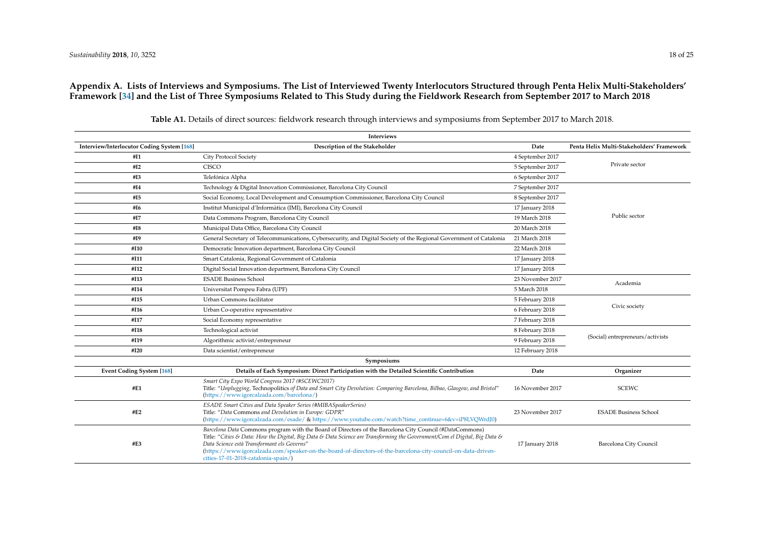## <span id="page-17-1"></span>**Appendix A. Lists of Interviews and Symposiums. The List of Interviewed Twenty Interlocutors Structured through Penta Helix Multi-Stakeholders' Framework [\[34\]](#page-19-21) and the List of Three Symposiums Related to This Study during the Fieldwork Research from September 2017 to March 2018**

<span id="page-17-0"></span>

| Interviews                                        |                                                                                                                                                                                                                                                                                                                                                                                                                                             |                  |                                           |  |  |
|---------------------------------------------------|---------------------------------------------------------------------------------------------------------------------------------------------------------------------------------------------------------------------------------------------------------------------------------------------------------------------------------------------------------------------------------------------------------------------------------------------|------------------|-------------------------------------------|--|--|
| <b>Interview/Interlocutor Coding System [168]</b> | Description of the Stakeholder                                                                                                                                                                                                                                                                                                                                                                                                              | Date             | Penta Helix Multi-Stakeholders' Framework |  |  |
| #I1                                               | City Protocol Society                                                                                                                                                                                                                                                                                                                                                                                                                       | 4 September 2017 |                                           |  |  |
| #I2                                               | <b>CISCO</b>                                                                                                                                                                                                                                                                                                                                                                                                                                |                  | Private sector                            |  |  |
| #I3                                               | Telefónica Alpha                                                                                                                                                                                                                                                                                                                                                                                                                            | 6 September 2017 |                                           |  |  |
| #I4                                               | Technology & Digital Innovation Commissioner, Barcelona City Council                                                                                                                                                                                                                                                                                                                                                                        | 7 September 2017 |                                           |  |  |
| #I5                                               | Social Economy, Local Development and Consumption Commissioner, Barcelona City Council                                                                                                                                                                                                                                                                                                                                                      | 8 September 2017 |                                           |  |  |
| #I6                                               | Institut Municipal d'Informàtica (IMI), Barcelona City Council                                                                                                                                                                                                                                                                                                                                                                              | 17 January 2018  |                                           |  |  |
| #I7                                               | Data Commons Program, Barcelona City Council                                                                                                                                                                                                                                                                                                                                                                                                | 19 March 2018    | Public sector                             |  |  |
| #I8                                               | Municipal Data Office, Barcelona City Council                                                                                                                                                                                                                                                                                                                                                                                               | 20 March 2018    |                                           |  |  |
| #I9                                               | General Secretary of Telecommunications, Cybersecurity, and Digital Society of the Regional Government of Catalonia                                                                                                                                                                                                                                                                                                                         | 21 March 2018    |                                           |  |  |
| #I10                                              | Democratic Innovation department, Barcelona City Council                                                                                                                                                                                                                                                                                                                                                                                    | 22 March 2018    |                                           |  |  |
| #I11                                              | Smart Catalonia, Regional Government of Catalonia                                                                                                                                                                                                                                                                                                                                                                                           | 17 January 2018  |                                           |  |  |
| #I12                                              | Digital Social Innovation department, Barcelona City Council                                                                                                                                                                                                                                                                                                                                                                                | 17 January 2018  |                                           |  |  |
| #I13                                              | <b>ESADE Business School</b>                                                                                                                                                                                                                                                                                                                                                                                                                | 23 November 2017 | Academia                                  |  |  |
| #I14                                              | Universitat Pompeu Fabra (UPF)                                                                                                                                                                                                                                                                                                                                                                                                              | 5 March 2018     |                                           |  |  |
| #I15                                              | Urban Commons facilitator                                                                                                                                                                                                                                                                                                                                                                                                                   | 5 February 2018  |                                           |  |  |
| #I16                                              | Urban Co-operative representative<br>6 February 2018                                                                                                                                                                                                                                                                                                                                                                                        |                  | Civic society                             |  |  |
| #I17                                              | Social Economy representative                                                                                                                                                                                                                                                                                                                                                                                                               | 7 February 2018  |                                           |  |  |
| #I18                                              | Technological activist                                                                                                                                                                                                                                                                                                                                                                                                                      | 8 February 2018  |                                           |  |  |
| #I19                                              | Algorithmic activist/entrepreneur                                                                                                                                                                                                                                                                                                                                                                                                           | 9 February 2018  | (Social) entrepreneurs/activists          |  |  |
| #I20                                              | Data scientist/entrepreneur                                                                                                                                                                                                                                                                                                                                                                                                                 | 12 February 2018 |                                           |  |  |
|                                                   | Symposiums                                                                                                                                                                                                                                                                                                                                                                                                                                  |                  |                                           |  |  |
| <b>Event Coding System [168]</b>                  | Details of Each Symposium: Direct Participation with the Detailed Scientific Contribution                                                                                                                                                                                                                                                                                                                                                   | Date             | Organizer                                 |  |  |
| #E1                                               | Smart City Expo World Congress 2017 (#SCEWC2017)<br>Title: "Unplugging, Technopolitics of Data and Smart City Devolution: Comparing Barcelona, Bilbao, Glasgow, and Bristol"<br>(https://www.igorcalzada.com/barcelona/)                                                                                                                                                                                                                    | 16 November 2017 | <b>SCEWC</b>                              |  |  |
| #E2                                               | ESADE Smart Cities and Data Speaker Series (#MIBASpeakerSeries)<br>Title: "Data Commons and Devolution in Europe: GDPR"<br>(https://www.igorcalzada.com/esade/ & https://www.youtube.com/watch?time_continue=6&v=iP8LVQWrdJ0)                                                                                                                                                                                                               | 23 November 2017 | <b>ESADE Business School</b>              |  |  |
| #E3                                               | Barcelona Data Commons program with the Board of Directors of the Barcelona City Council (#DataCommons)<br>Title: "Cities & Data: How the Digital, Big Data & Data Science are Transforming the Government/Com el Digital, Big Data &<br>Data Science està Transformant els Governs"<br>(https://www.igorcalzada.com/speaker-on-the-board-of-directors-of-the-barcelona-city-council-on-data-driven-<br>cities-17-01-2018-catalonia-spain/) | 17 January 2018  | Barcelona City Council                    |  |  |

**Table A1.** Details of direct sources: fieldwork research through interviews and symposiums from September 2017 to March 2018.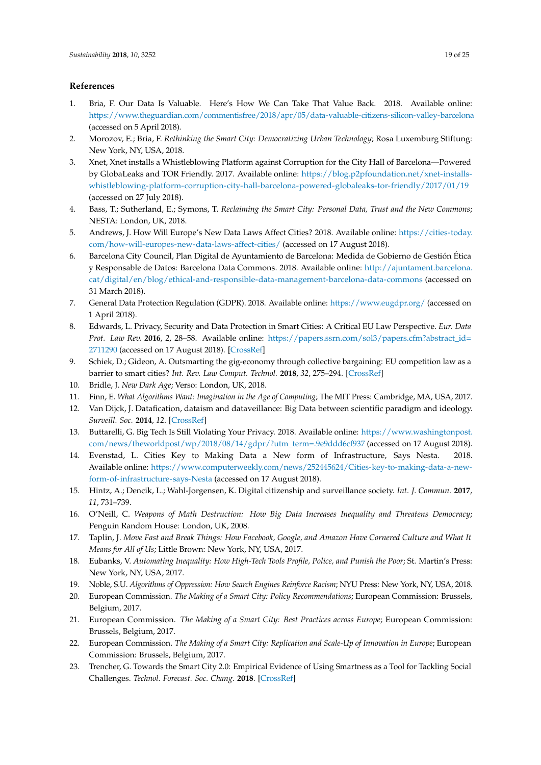# <span id="page-18-20"></span><span id="page-18-19"></span><span id="page-18-18"></span>**References**

- <span id="page-18-0"></span>1. Bria, F. Our Data Is Valuable. Here's How We Can Take That Value Back. 2018. Available online: <https://www.theguardian.com/commentisfree/2018/apr/05/data-valuable-citizens-silicon-valley-barcelona> (accessed on 5 April 2018).
- <span id="page-18-14"></span>2. Morozov, E.; Bria, F. *Rethinking the Smart City: Democratizing Urban Technology*; Rosa Luxemburg Stiftung: New York, NY, USA, 2018.
- <span id="page-18-1"></span>3. Xnet, Xnet installs a Whistleblowing Platform against Corruption for the City Hall of Barcelona—Powered by GlobaLeaks and TOR Friendly. 2017. Available online: [https://blog.p2pfoundation.net/xnet-installs](https://blog.p2pfoundation.net/xnet-installs-whistleblowing-platform-corruption-city-hall-barcelona-powered-globaleaks-tor-friendly/2017/01/19)[whistleblowing-platform-corruption-city-hall-barcelona-powered-globaleaks-tor-friendly/2017/01/19](https://blog.p2pfoundation.net/xnet-installs-whistleblowing-platform-corruption-city-hall-barcelona-powered-globaleaks-tor-friendly/2017/01/19) (accessed on 27 July 2018).
- <span id="page-18-2"></span>4. Bass, T.; Sutherland, E.; Symons, T. *Reclaiming the Smart City: Personal Data, Trust and the New Commons*; NESTA: London, UK, 2018.
- <span id="page-18-3"></span>5. Andrews, J. How Will Europe's New Data Laws Affect Cities? 2018. Available online: [https://cities-today.](https://cities-today.com/how-will-europes-new-data-laws-affect-cities/) [com/how-will-europes-new-data-laws-affect-cities/](https://cities-today.com/how-will-europes-new-data-laws-affect-cities/) (accessed on 17 August 2018).
- <span id="page-18-4"></span>6. Barcelona City Council, Plan Digital de Ayuntamiento de Barcelona: Medida de Gobierno de Gestión Ética y Responsable de Datos: Barcelona Data Commons. 2018. Available online: [http://ajuntament.barcelona.](http://ajuntament.barcelona.cat/digital/en/blog/ethical-and-responsible-data-management-barcelona-data-commons) [cat/digital/en/blog/ethical-and-responsible-data-management-barcelona-data-commons](http://ajuntament.barcelona.cat/digital/en/blog/ethical-and-responsible-data-management-barcelona-data-commons) (accessed on 31 March 2018).
- <span id="page-18-5"></span>7. General Data Protection Regulation (GDPR). 2018. Available online: <https://www.eugdpr.org/> (accessed on 1 April 2018).
- 8. Edwards, L. Privacy, Security and Data Protection in Smart Cities: A Critical EU Law Perspective. *Eur. Data Prot. Law Rev.* **2016**, *2*, 28–58. Available online: [https://papers.ssrn.com/sol3/papers.cfm?abstract\\_id=](https://papers.ssrn.com/sol3/papers.cfm?abstract_id=2711290) [2711290](https://papers.ssrn.com/sol3/papers.cfm?abstract_id=2711290) (accessed on 17 August 2018). [\[CrossRef\]](http://dx.doi.org/10.21552/EDPL/2016/1/6)
- <span id="page-18-6"></span>9. Schiek, D.; Gideon, A. Outsmarting the gig-economy through collective bargaining: EU competition law as a barrier to smart cities? *Int. Rev. Law Comput. Technol.* **2018**, *32*, 275–294. [\[CrossRef\]](http://dx.doi.org/10.1080/13600869.2018.1457001)
- <span id="page-18-7"></span>10. Bridle, J. *New Dark Age*; Verso: London, UK, 2018.
- <span id="page-18-16"></span>11. Finn, E. *What Algorithms Want: Imagination in the Age of Computing*; The MIT Press: Cambridge, MA, USA, 2017.
- <span id="page-18-15"></span>12. Van Dijck, J. Datafication, dataism and dataveillance: Big Data between scientific paradigm and ideology. *Surveill. Soc.* **2014**, *12*. [\[CrossRef\]](http://dx.doi.org/10.24908/ss.v12i2.4776)
- 13. Buttarelli, G. Big Tech Is Still Violating Your Privacy. 2018. Available online: [https://www.washingtonpost.](https://www.washingtonpost.com/news/theworldpost/wp/2018/08/14/gdpr/?utm_term=.9e9ddd6cf937) [com/news/theworldpost/wp/2018/08/14/gdpr/?utm\\_term=.9e9ddd6cf937](https://www.washingtonpost.com/news/theworldpost/wp/2018/08/14/gdpr/?utm_term=.9e9ddd6cf937) (accessed on 17 August 2018).
- 14. Evenstad, L. Cities Key to Making Data a New form of Infrastructure, Says Nesta. 2018. Available online: [https://www.computerweekly.com/news/252445624/Cities-key-to-making-data-a-new](https://www.computerweekly.com/news/252445624/Cities-key-to-making-data-a-new-form-of-infrastructure-says-Nesta)[form-of-infrastructure-says-Nesta](https://www.computerweekly.com/news/252445624/Cities-key-to-making-data-a-new-form-of-infrastructure-says-Nesta) (accessed on 17 August 2018).
- 15. Hintz, A.; Dencik, L.; Wahl-Jorgensen, K. Digital citizenship and surveillance society. *Int. J. Commun.* **2017**, *11*, 731–739.
- <span id="page-18-17"></span>16. O'Neill, C. *Weapons of Math Destruction: How Big Data Increases Inequality and Threatens Democracy*; Penguin Random House: London, UK, 2008.
- <span id="page-18-8"></span>17. Taplin, J. *Move Fast and Break Things: How Facebook, Google, and Amazon Have Cornered Culture and What It Means for All of Us*; Little Brown: New York, NY, USA, 2017.
- <span id="page-18-9"></span>18. Eubanks, V. *Automating Inequality: How High-Tech Tools Profile, Police, and Punish the Poor*; St. Martin's Press: New York, NY, USA, 2017.
- <span id="page-18-10"></span>19. Noble, S.U. *Algorithms of Oppression: How Search Engines Reinforce Racism*; NYU Press: New York, NY, USA, 2018.
- <span id="page-18-11"></span>20. European Commission. *The Making of a Smart City: Policy Recommendations*; European Commission: Brussels, Belgium, 2017.
- 21. European Commission. *The Making of a Smart City: Best Practices across Europe; European Commission*: Brussels, Belgium, 2017.
- <span id="page-18-12"></span>22. European Commission. *The Making of a Smart City: Replication and Scale-Up of Innovation in Europe;* European Commission: Brussels, Belgium, 2017.
- <span id="page-18-13"></span>23. Trencher, G. Towards the Smart City 2.0: Empirical Evidence of Using Smartness as a Tool for Tackling Social Challenges. *Technol. Forecast. Soc. Chang.* **2018**. [\[CrossRef\]](http://dx.doi.org/10.1016/j.techfore.2018.07.033)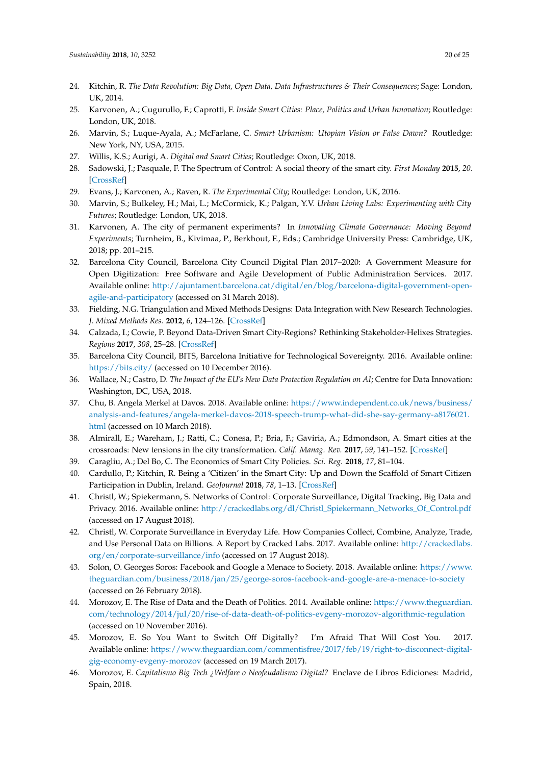- <span id="page-19-22"></span><span id="page-19-0"></span>24. Kitchin, R. *The Data Revolution: Big Data, Open Data, Data Infrastructures & Their Consequences*; Sage: London, UK, 2014.
- <span id="page-19-21"></span><span id="page-19-1"></span>25. Karvonen, A.; Cugurullo, F.; Caprotti, F. *Inside Smart Cities: Place, Politics and Urban Innovation*; Routledge: London, UK, 2018.
- <span id="page-19-23"></span><span id="page-19-18"></span>26. Marvin, S.; Luque-Ayala, A.; McFarlane, C. *Smart Urbanism: Utopian Vision or False Dawn?* Routledge: New York, NY, USA, 2015.
- 27. Willis, K.S.; Aurigi, A. *Digital and Smart Cities*; Routledge: Oxon, UK, 2018.
- <span id="page-19-2"></span>28. Sadowski, J.; Pasquale, F. The Spectrum of Control: A social theory of the smart city. *First Monday* **2015**, *20*. [\[CrossRef\]](http://dx.doi.org/10.5210/fm.v20i7.5903)
- <span id="page-19-3"></span>29. Evans, J.; Karvonen, A.; Raven, R. *The Experimental City*; Routledge: London, UK, 2016.
- <span id="page-19-17"></span>30. Marvin, S.; Bulkeley, H.; Mai, L.; McCormick, K.; Palgan, Y.V. *Urban Living Labs: Experimenting with City Futures*; Routledge: London, UK, 2018.
- <span id="page-19-4"></span>31. Karvonen, A. The city of permanent experiments? In *Innovating Climate Governance: Moving Beyond Experiments*; Turnheim, B., Kivimaa, P., Berkhout, F., Eds.; Cambridge University Press: Cambridge, UK, 2018; pp. 201–215.
- <span id="page-19-5"></span>32. Barcelona City Council, Barcelona City Council Digital Plan 2017–2020: A Government Measure for Open Digitization: Free Software and Agile Development of Public Administration Services. 2017. Available online: [http://ajuntament.barcelona.cat/digital/en/blog/barcelona-digital-government-open](http://ajuntament.barcelona.cat/digital/en/blog/barcelona-digital-government-open-agile-and-participatory)[agile-and-participatory](http://ajuntament.barcelona.cat/digital/en/blog/barcelona-digital-government-open-agile-and-participatory) (accessed on 31 March 2018).
- <span id="page-19-6"></span>33. Fielding, N.G. Triangulation and Mixed Methods Designs: Data Integration with New Research Technologies. *J. Mixed Methods Res.* **2012**, *6*, 124–126. [\[CrossRef\]](http://dx.doi.org/10.1177/1558689812437101)
- <span id="page-19-7"></span>34. Calzada, I.; Cowie, P. Beyond Data-Driven Smart City-Regions? Rethinking Stakeholder-Helixes Strategies. *Regions* **2017**, *308*, 25–28. [\[CrossRef\]](http://dx.doi.org/10.1080/13673882.2017.11958675)
- <span id="page-19-8"></span>35. Barcelona City Council, BITS, Barcelona Initiative for Technological Sovereignty. 2016. Available online: <https://bits.city/> (accessed on 10 December 2016).
- <span id="page-19-9"></span>36. Wallace, N.; Castro, D. *The Impact of the EU's New Data Protection Regulation on AI*; Centre for Data Innovation: Washington, DC, USA, 2018.
- <span id="page-19-10"></span>37. Chu, B. Angela Merkel at Davos. 2018. Available online: [https://www.independent.co.uk/news/business/](https://www.independent.co.uk/news/business/analysis-and-features/angela-merkel-davos-2018-speech-trump-what-did-she-say-germany-a8176021.html) [analysis-and-features/angela-merkel-davos-2018-speech-trump-what-did-she-say-germany-a8176021.](https://www.independent.co.uk/news/business/analysis-and-features/angela-merkel-davos-2018-speech-trump-what-did-she-say-germany-a8176021.html) [html](https://www.independent.co.uk/news/business/analysis-and-features/angela-merkel-davos-2018-speech-trump-what-did-she-say-germany-a8176021.html) (accessed on 10 March 2018).
- <span id="page-19-11"></span>38. Almirall, E.; Wareham, J.; Ratti, C.; Conesa, P.; Bria, F.; Gaviria, A.; Edmondson, A. Smart cities at the crossroads: New tensions in the city transformation. *Calif. Manag. Rev.* **2017**, *59*, 141–152. [\[CrossRef\]](http://dx.doi.org/10.1177/0008125616683949)
- <span id="page-19-16"></span>39. Caragliu, A.; Del Bo, C. The Economics of Smart City Policies. *Sci. Reg.* **2018**, *17*, 81–104.
- <span id="page-19-20"></span>40. Cardullo, P.; Kitchin, R. Being a 'Citizen' in the Smart City: Up and Down the Scaffold of Smart Citizen Participation in Dublin, Ireland. *GeoJournal* **2018**, *78*, 1–13. [\[CrossRef\]](http://dx.doi.org/10.1007/s10708-018-9845-8)
- <span id="page-19-19"></span>41. Christl, W.; Spiekermann, S. Networks of Control: Corporate Surveillance, Digital Tracking, Big Data and Privacy. 2016. Available online: [http://crackedlabs.org/dl/Christl\\_Spiekermann\\_Networks\\_Of\\_Control.pdf](http://crackedlabs.org/dl/Christl_Spiekermann_Networks_Of_Control.pdf) (accessed on 17 August 2018).
- <span id="page-19-12"></span>42. Christl, W. Corporate Surveillance in Everyday Life. How Companies Collect, Combine, Analyze, Trade, and Use Personal Data on Billions. A Report by Cracked Labs. 2017. Available online: [http://crackedlabs.](http://crackedlabs.org/en/corporate-surveillance/info) [org/en/corporate-surveillance/info](http://crackedlabs.org/en/corporate-surveillance/info) (accessed on 17 August 2018).
- <span id="page-19-13"></span>43. Solon, O. Georges Soros: Facebook and Google a Menace to Society. 2018. Available online: [https://www.](https://www.theguardian.com/business/2018/jan/25/george-soros-facebook-and-google-are-a-menace-to-society) [theguardian.com/business/2018/jan/25/george-soros-facebook-and-google-are-a-menace-to-society](https://www.theguardian.com/business/2018/jan/25/george-soros-facebook-and-google-are-a-menace-to-society) (accessed on 26 February 2018).
- <span id="page-19-14"></span>44. Morozov, E. The Rise of Data and the Death of Politics. 2014. Available online: [https://www.theguardian.](https://www.theguardian.com/technology/2014/jul/20/rise-of-data-death-of-politics-evgeny-morozov-algorithmic-regulation) [com/technology/2014/jul/20/rise-of-data-death-of-politics-evgeny-morozov-algorithmic-regulation](https://www.theguardian.com/technology/2014/jul/20/rise-of-data-death-of-politics-evgeny-morozov-algorithmic-regulation) (accessed on 10 November 2016).
- 45. Morozov, E. So You Want to Switch Off Digitally? I'm Afraid That Will Cost You. 2017. Available online: [https://www.theguardian.com/commentisfree/2017/feb/19/right-to-disconnect-digital](https://www.theguardian.com/commentisfree/2017/feb/19/right-to-disconnect-digital-gig-economy-evgeny-morozov)[gig-economy-evgeny-morozov](https://www.theguardian.com/commentisfree/2017/feb/19/right-to-disconnect-digital-gig-economy-evgeny-morozov) (accessed on 19 March 2017).
- <span id="page-19-15"></span>46. Morozov, E. *Capitalismo Big Tech ¿Welfare o Neofeudalismo Digital?* Enclave de Libros Ediciones: Madrid, Spain, 2018.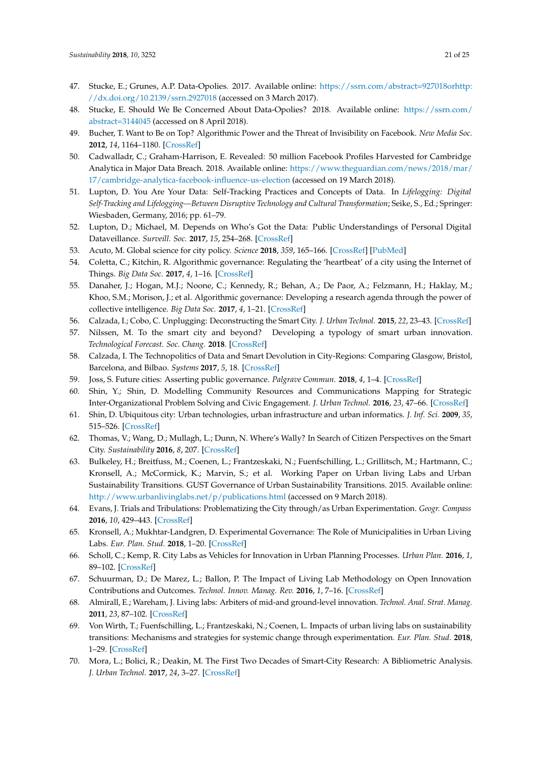- <span id="page-20-0"></span>47. Stucke, E.; Grunes, A.P. Data-Opolies. 2017. Available online: [https://ssrn.com/abstract=927018orhttp:](https://ssrn.com/abstract=927018 or http://dx.doi.org/10.2139/ssrn.2927018) [//dx.doi.org/10.2139/ssrn.2927018](https://ssrn.com/abstract=927018 or http://dx.doi.org/10.2139/ssrn.2927018) (accessed on 3 March 2017).
- <span id="page-20-1"></span>48. Stucke, E. Should We Be Concerned About Data-Opolies? 2018. Available online: [https://ssrn.com/](https://ssrn.com/abstract=3144045) [abstract=3144045](https://ssrn.com/abstract=3144045) (accessed on 8 April 2018).
- <span id="page-20-2"></span>49. Bucher, T. Want to Be on Top? Algorithmic Power and the Threat of Invisibility on Facebook. *New Media Soc.* **2012**, *14*, 1164–1180. [\[CrossRef\]](http://dx.doi.org/10.1177/1461444812440159)
- <span id="page-20-3"></span>50. Cadwalladr, C.; Graham-Harrison, E. Revealed: 50 million Facebook Profiles Harvested for Cambridge Analytica in Major Data Breach. 2018. Available online: [https://www.theguardian.com/news/2018/mar/](https://www.theguardian.com/news/2018/mar/17/cambridge-analytica-facebook-influence-us-election) [17/cambridge-analytica-facebook-influence-us-election](https://www.theguardian.com/news/2018/mar/17/cambridge-analytica-facebook-influence-us-election) (accessed on 19 March 2018).
- 51. Lupton, D. You Are Your Data: Self-Tracking Practices and Concepts of Data. In *Lifelogging: Digital Self-Tracking and Lifelogging—Between Disruptive Technology and Cultural Transformation*; Seike, S., Ed.; Springer: Wiesbaden, Germany, 2016; pp. 61–79.
- <span id="page-20-4"></span>52. Lupton, D.; Michael, M. Depends on Who's Got the Data: Public Understandings of Personal Digital Dataveillance. *Surveill. Soc.* **2017**, *15*, 254–268. [\[CrossRef\]](http://dx.doi.org/10.24908/ss.v15i2.6332)
- <span id="page-20-5"></span>53. Acuto, M. Global science for city policy. *Science* **2018**, *359*, 165–166. [\[CrossRef\]](http://dx.doi.org/10.1126/science.aao2728) [\[PubMed\]](http://www.ncbi.nlm.nih.gov/pubmed/29326264)
- <span id="page-20-6"></span>54. Coletta, C.; Kitchin, R. Algorithmic governance: Regulating the 'heartbeat' of a city using the Internet of Things. *Big Data Soc.* **2017**, *4*, 1–16. [\[CrossRef\]](http://dx.doi.org/10.1177/2053951717742418)
- 55. Danaher, J.; Hogan, M.J.; Noone, C.; Kennedy, R.; Behan, A.; De Paor, A.; Felzmann, H.; Haklay, M.; Khoo, S.M.; Morison, J.; et al. Algorithmic governance: Developing a research agenda through the power of collective intelligence. *Big Data Soc.* **2017**, *4*, 1–21. [\[CrossRef\]](http://dx.doi.org/10.1177/2053951717726554)
- <span id="page-20-7"></span>56. Calzada, I.; Cobo, C. Unplugging: Deconstructing the Smart City. *J. Urban Technol.* **2015**, *22*, 23–43. [\[CrossRef\]](http://dx.doi.org/10.1080/10630732.2014.971535)
- <span id="page-20-8"></span>57. Nilssen, M. To the smart city and beyond? Developing a typology of smart urban innovation. *Technological Forecast. Soc. Chang.* **2018**. [\[CrossRef\]](http://dx.doi.org/10.1016/j.techfore.2018.07.060)
- <span id="page-20-9"></span>58. Calzada, I. The Technopolitics of Data and Smart Devolution in City-Regions: Comparing Glasgow, Bristol, Barcelona, and Bilbao. *Systems* **2017**, *5*, 18. [\[CrossRef\]](http://dx.doi.org/10.3390/systems5010018)
- <span id="page-20-10"></span>59. Joss, S. Future cities: Asserting public governance. *Palgrave Commun.* **2018**, *4*, 1–4. [\[CrossRef\]](http://dx.doi.org/10.1057/s41599-018-0087-7)
- 60. Shin, Y.; Shin, D. Modelling Community Resources and Communications Mapping for Strategic Inter-Organizational Problem Solving and Civic Engagement. *J. Urban Technol.* **2016**, *23*, 47–66. [\[CrossRef\]](http://dx.doi.org/10.1080/10630732.2016.1175826)
- 61. Shin, D. Ubiquitous city: Urban technologies, urban infrastructure and urban informatics. *J. Inf. Sci.* **2009**, *35*, 515–526. [\[CrossRef\]](http://dx.doi.org/10.1177/0165551509100832)
- <span id="page-20-11"></span>62. Thomas, V.; Wang, D.; Mullagh, L.; Dunn, N. Where's Wally? In Search of Citizen Perspectives on the Smart City. *Sustainability* **2016**, *8*, 207. [\[CrossRef\]](http://dx.doi.org/10.3390/su8030207)
- <span id="page-20-12"></span>63. Bulkeley, H.; Breitfuss, M.; Coenen, L.; Frantzeskaki, N.; Fuenfschilling, L.; Grillitsch, M.; Hartmann, C.; Kronsell, A.; McCormick, K.; Marvin, S.; et al. Working Paper on Urban living Labs and Urban Sustainability Transitions. GUST Governance of Urban Sustainability Transitions. 2015. Available online: <http://www.urbanlivinglabs.net/p/publications.html> (accessed on 9 March 2018).
- <span id="page-20-17"></span>64. Evans, J. Trials and Tribulations: Problematizing the City through/as Urban Experimentation. *Geogr. Compass* **2016**, *10*, 429–443. [\[CrossRef\]](http://dx.doi.org/10.1111/gec3.12280)
- <span id="page-20-15"></span>65. Kronsell, A.; Mukhtar-Landgren, D. Experimental Governance: The Role of Municipalities in Urban Living Labs. *Eur. Plan. Stud.* **2018**, 1–20. [\[CrossRef\]](http://dx.doi.org/10.1080/09654313.2018.1435631)
- 66. Scholl, C.; Kemp, R. City Labs as Vehicles for Innovation in Urban Planning Processes. *Urban Plan.* **2016**, *1*, 89–102. [\[CrossRef\]](http://dx.doi.org/10.17645/up.v1i4.749)
- <span id="page-20-18"></span>67. Schuurman, D.; De Marez, L.; Ballon, P. The Impact of Living Lab Methodology on Open Innovation Contributions and Outcomes. *Technol. Innov. Manag. Rev.* **2016**, *1*, 7–16. [\[CrossRef\]](http://dx.doi.org/10.22215/timreview/956)
- <span id="page-20-16"></span>68. Almirall, E.; Wareham, J. Living labs: Arbiters of mid-and ground-level innovation. *Technol. Anal. Strat. Manag.* **2011**, *23*, 87–102. [\[CrossRef\]](http://dx.doi.org/10.1080/09537325.2011.537110)
- <span id="page-20-13"></span>69. Von Wirth, T.; Fuenfschilling, L.; Frantzeskaki, N.; Coenen, L. Impacts of urban living labs on sustainability transitions: Mechanisms and strategies for systemic change through experimentation. *Eur. Plan. Stud.* **2018**, 1–29. [\[CrossRef\]](http://dx.doi.org/10.1080/09654313.2018.1504895)
- <span id="page-20-14"></span>70. Mora, L.; Bolici, R.; Deakin, M. The First Two Decades of Smart-City Research: A Bibliometric Analysis. *J. Urban Technol.* **2017**, *24*, 3–27. [\[CrossRef\]](http://dx.doi.org/10.1080/10630732.2017.1285123)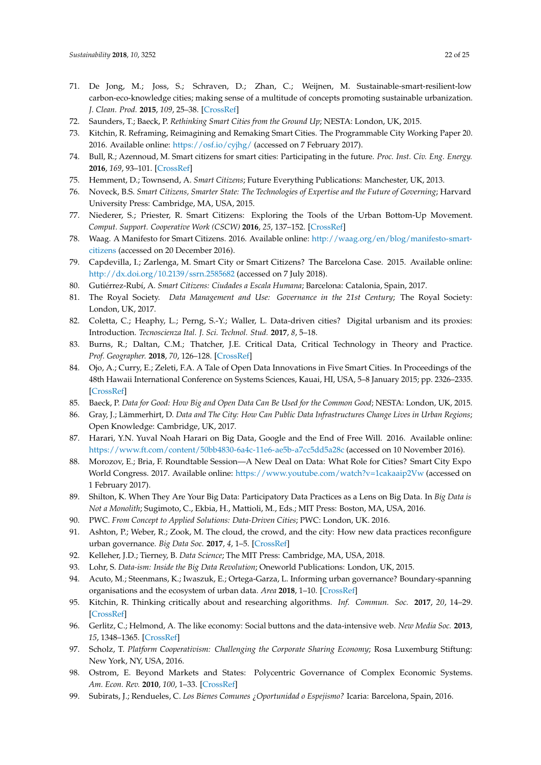- <span id="page-21-0"></span>71. De Jong, M.; Joss, S.; Schraven, D.; Zhan, C.; Weijnen, M. Sustainable-smart-resilient-low carbon-eco-knowledge cities; making sense of a multitude of concepts promoting sustainable urbanization. *J. Clean. Prod.* **2015**, *109*, 25–38. [\[CrossRef\]](http://dx.doi.org/10.1016/j.jclepro.2015.02.004)
- <span id="page-21-1"></span>72. Saunders, T.; Baeck, P. *Rethinking Smart Cities from the Ground Up*; NESTA: London, UK, 2015.
- <span id="page-21-2"></span>73. Kitchin, R. Reframing, Reimagining and Remaking Smart Cities. The Programmable City Working Paper 20. 2016. Available online: <https://osf.io/cyjhg/> (accessed on 7 February 2017).
- <span id="page-21-3"></span>74. Bull, R.; Azennoud, M. Smart citizens for smart cities: Participating in the future. *Proc. Inst. Civ. Eng. Energy.* **2016**, *169*, 93–101. [\[CrossRef\]](http://dx.doi.org/10.1680/jener.15.00030)
- <span id="page-21-13"></span>75. Hemment, D.; Townsend, A. *Smart Citizens*; Future Everything Publications: Manchester, UK, 2013.
- 76. Noveck, B.S. *Smart Citizens, Smarter State: The Technologies of Expertise and the Future of Governing*; Harvard University Press: Cambridge, MA, USA, 2015.
- <span id="page-21-11"></span>77. Niederer, S.; Priester, R. Smart Citizens: Exploring the Tools of the Urban Bottom-Up Movement. *Comput. Support. Cooperative Work (CSCW)* **2016**, *25*, 137–152. [\[CrossRef\]](http://dx.doi.org/10.1007/s10606-016-9249-6)
- <span id="page-21-14"></span>78. Waag. A Manifesto for Smart Citizens. 2016. Available online: [http://waag.org/en/blog/manifesto-smart](http://waag.org/en/blog/manifesto-smart-citizens)[citizens](http://waag.org/en/blog/manifesto-smart-citizens) (accessed on 20 December 2016).
- <span id="page-21-20"></span>79. Capdevilla, I.; Zarlenga, M. Smart City or Smart Citizens? The Barcelona Case. 2015. Available online: <http://dx.doi.org/10.2139/ssrn.2585682> (accessed on 7 July 2018).
- <span id="page-21-4"></span>80. Gutiérrez-Rubí, A. *Smart Citizens: Ciudades a Escala Humana*; Barcelona: Catalonia, Spain, 2017.
- <span id="page-21-5"></span>81. The Royal Society. *Data Management and Use: Governance in the 21st Century*; The Royal Society: London, UK, 2017.
- <span id="page-21-12"></span>82. Coletta, C.; Heaphy, L.; Perng, S.-Y.; Waller, L. Data-driven cities? Digital urbanism and its proxies: Introduction. *Tecnoscienza Ital. J. Sci. Technol. Stud.* **2017**, *8*, 5–18.
- 83. Burns, R.; Daltan, C.M.; Thatcher, J.E. Critical Data, Critical Technology in Theory and Practice. *Prof. Geographer.* **2018**, *70*, 126–128. [\[CrossRef\]](http://dx.doi.org/10.1080/00330124.2017.1325749)
- <span id="page-21-15"></span>84. Ojo, A.; Curry, E.; Zeleti, F.A. A Tale of Open Data Innovations in Five Smart Cities. In Proceedings of the 48th Hawaii International Conference on Systems Sciences, Kauai, HI, USA, 5–8 January 2015; pp. 2326–2335. [\[CrossRef\]](http://dx.doi.org/10.1109/HICSS.2015.280)
- <span id="page-21-18"></span>85. Baeck, P. *Data for Good: How Big and Open Data Can Be Used for the Common Good*; NESTA: London, UK, 2015.
- <span id="page-21-27"></span><span id="page-21-19"></span>86. Gray, J.; Lämmerhirt, D. *Data and The City: How Can Public Data Infrastructures Change Lives in Urban Regions*; Open Knowledge: Cambridge, UK, 2017.
- <span id="page-21-21"></span>87. Harari, Y.N. Yuval Noah Harari on Big Data, Google and the End of Free Will. 2016. Available online: <https://www.ft.com/content/50bb4830-6a4c-11e6-ae5b-a7cc5dd5a28c> (accessed on 10 November 2016).
- <span id="page-21-22"></span>88. Morozov, E.; Bria, F. Roundtable Session—A New Deal on Data: What Role for Cities? Smart City Expo World Congress. 2017. Available online: <https://www.youtube.com/watch?v=1cakaaip2Vw> (accessed on 1 February 2017).
- <span id="page-21-24"></span>89. Shilton, K. When They Are Your Big Data: Participatory Data Practices as a Lens on Big Data. In *Big Data is Not a Monolith*; Sugimoto, C., Ekbia, H., Mattioli, M., Eds.; MIT Press: Boston, MA, USA, 2016.
- <span id="page-21-25"></span>90. PWC. *From Concept to Applied Solutions: Data-Driven Cities*; PWC: London, UK. 2016.
- <span id="page-21-26"></span>91. Ashton, P.; Weber, R.; Zook, M. The cloud, the crowd, and the city: How new data practices reconfigure urban governance. *Big Data Soc.* **2017**, *4*, 1–5. [\[CrossRef\]](http://dx.doi.org/10.1177/2053951717706718)
- <span id="page-21-23"></span>92. Kelleher, J.D.; Tierney, B. *Data Science*; The MIT Press: Cambridge, MA, USA, 2018.
- <span id="page-21-6"></span>93. Lohr, S. *Data-ism: Inside the Big Data Revolution*; Oneworld Publications: London, UK, 2015.
- <span id="page-21-7"></span>94. Acuto, M.; Steenmans, K.; Iwaszuk, E.; Ortega-Garza, L. Informing urban governance? Boundary-spanning organisations and the ecosystem of urban data. *Area* **2018**, 1–10. [\[CrossRef\]](http://dx.doi.org/10.1111/area.12430)
- <span id="page-21-8"></span>95. Kitchin, R. Thinking critically about and researching algorithms. *Inf. Commun. Soc.* **2017**, *20*, 14–29. [\[CrossRef\]](http://dx.doi.org/10.1080/1369118X.2016.1154087)
- <span id="page-21-9"></span>96. Gerlitz, C.; Helmond, A. The like economy: Social buttons and the data-intensive web. *New Media Soc.* **2013**, *15*, 1348–1365. [\[CrossRef\]](http://dx.doi.org/10.1177/1461444812472322)
- <span id="page-21-10"></span>97. Scholz, T. *Platform Cooperativism: Challenging the Corporate Sharing Economy*; Rosa Luxemburg Stiftung: New York, NY, USA, 2016.
- <span id="page-21-16"></span>98. Ostrom, E. Beyond Markets and States: Polycentric Governance of Complex Economic Systems. *Am. Econ. Rev.* **2010**, *100*, 1–33. [\[CrossRef\]](http://dx.doi.org/10.1257/aer.100.3.641)
- <span id="page-21-17"></span>99. Subirats, J.; Rendueles, C. *Los Bienes Comunes ¿Oportunidad o Espejismo?* Icaria: Barcelona, Spain, 2016.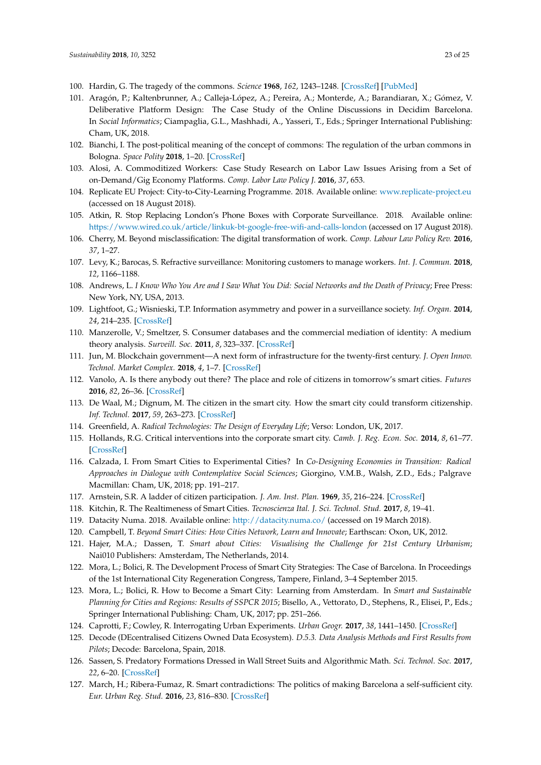- <span id="page-22-25"></span><span id="page-22-22"></span>100. Hardin, G. The tragedy of the commons. *Science* **1968**, *162*, 1243–1248. [\[CrossRef\]](http://dx.doi.org/10.1080/19390450903037302) [\[PubMed\]](http://www.ncbi.nlm.nih.gov/pubmed/5699198)
- <span id="page-22-23"></span>101. Aragón, P.; Kaltenbrunner, A.; Calleja-López, A.; Pereira, A.; Monterde, A.; Barandiaran, X.; Gómez, V. Deliberative Platform Design: The Case Study of the Online Discussions in Decidim Barcelona. In *Social Informatics*; Ciampaglia, G.L., Mashhadi, A., Yasseri, T., Eds.; Springer International Publishing: Cham, UK, 2018.
- <span id="page-22-24"></span><span id="page-22-15"></span>102. Bianchi, I. The post-political meaning of the concept of commons: The regulation of the urban commons in Bologna. *Space Polity* **2018**, 1–20. [\[CrossRef\]](http://dx.doi.org/10.1080/13562576.2018.1505492)
- <span id="page-22-0"></span>103. Alosi, A. Commoditized Workers: Case Study Research on Labor Law Issues Arising from a Set of on-Demand/Gig Economy Platforms. *Comp. Labor Law Policy J.* **2016**, *37*, 653.
- <span id="page-22-1"></span>104. Replicate EU Project: City-to-City-Learning Programme. 2018. Available online: <www.replicate-project.eu> (accessed on 18 August 2018).
- <span id="page-22-2"></span>105. Atkin, R. Stop Replacing London's Phone Boxes with Corporate Surveillance. 2018. Available online: <https://www.wired.co.uk/article/linkuk-bt-google-free-wifi-and-calls-london> (accessed on 17 August 2018).
- <span id="page-22-26"></span>106. Cherry, M. Beyond misclassification: The digital transformation of work. *Comp. Labour Law Policy Rev.* **2016**, *37*, 1–27.
- 107. Levy, K.; Barocas, S. Refractive surveillance: Monitoring customers to manage workers. *Int. J. Commun.* **2018**, *12*, 1166–1188.
- 108. Andrews, L. *I Know Who You Are and I Saw What You Did: Social Networks and the Death of Privacy*; Free Press: New York, NY, USA, 2013.
- 109. Lightfoot, G.; Wisnieski, T.P. Information asymmetry and power in a surveillance society. *Inf. Organ.* **2014**, *24*, 214–235. [\[CrossRef\]](http://dx.doi.org/10.1016/j.infoandorg.2014.09.001)
- <span id="page-22-3"></span>110. Manzerolle, V.; Smeltzer, S. Consumer databases and the commercial mediation of identity: A medium theory analysis. *Surveill. Soc.* **2011**, *8*, 323–337. [\[CrossRef\]](http://dx.doi.org/10.24908/ss.v8i3.4167)
- <span id="page-22-4"></span>111. Jun, M. Blockchain government—A next form of infrastructure for the twenty-first century. *J. Open Innov. Technol. Market Complex.* **2018**, *4*, 1–7. [\[CrossRef\]](http://dx.doi.org/10.1186/s40852-018-0086-3)
- <span id="page-22-5"></span>112. Vanolo, A. Is there anybody out there? The place and role of citizens in tomorrow's smart cities. *Futures* **2016**, *82*, 26–36. [\[CrossRef\]](http://dx.doi.org/10.1016/j.futures.2016.05.010)
- <span id="page-22-6"></span>113. De Waal, M.; Dignum, M. The citizen in the smart city. How the smart city could transform citizenship. *Inf. Technol.* **2017**, *59*, 263–273. [\[CrossRef\]](http://dx.doi.org/10.1515/itit-2017-0012)
- <span id="page-22-7"></span>114. Greenfield, A. *Radical Technologies: The Design of Everyday Life*; Verso: London, UK, 2017.
- <span id="page-22-8"></span>115. Hollands, R.G. Critical interventions into the corporate smart city. *Camb. J. Reg. Econ. Soc.* **2014**, *8*, 61–77. [\[CrossRef\]](http://dx.doi.org/10.1093/cjres/rsu011)
- <span id="page-22-9"></span>116. Calzada, I. From Smart Cities to Experimental Cities? In *Co-Designing Economies in Transition: Radical Approaches in Dialogue with Contemplative Social Sciences*; Giorgino, V.M.B., Walsh, Z.D., Eds.; Palgrave Macmillan: Cham, UK, 2018; pp. 191–217.
- <span id="page-22-10"></span>117. Arnstein, S.R. A ladder of citizen participation. *J. Am. Inst. Plan.* **1969**, *35*, 216–224. [\[CrossRef\]](http://dx.doi.org/10.1080/01944366908977225)
- <span id="page-22-11"></span>118. Kitchin, R. The Realtimeness of Smart Cities. *Tecnoscienza Ital. J. Sci. Technol. Stud.* **2017**, *8*, 19–41.
- <span id="page-22-12"></span>119. Datacity Numa. 2018. Available online: <http://datacity.numa.co/> (accessed on 19 March 2018).
- <span id="page-22-13"></span>120. Campbell, T. *Beyond Smart Cities: How Cities Network, Learn and Innovate*; Earthscan: Oxon, UK, 2012.
- <span id="page-22-14"></span>121. Hajer, M.A.; Dassen, T. *Smart about Cities: Visualising the Challenge for 21st Century Urbanism*; Nai010 Publishers: Amsterdam, The Netherlands, 2014.
- <span id="page-22-16"></span>122. Mora, L.; Bolici, R. The Development Process of Smart City Strategies: The Case of Barcelona. In Proceedings of the 1st International City Regeneration Congress, Tampere, Finland, 3–4 September 2015.
- <span id="page-22-17"></span>123. Mora, L.; Bolici, R. How to Become a Smart City: Learning from Amsterdam. In *Smart and Sustainable Planning for Cities and Regions: Results of SSPCR 2015*; Bisello, A., Vettorato, D., Stephens, R., Elisei, P., Eds.; Springer International Publishing: Cham, UK, 2017; pp. 251–266.
- <span id="page-22-18"></span>124. Caprotti, F.; Cowley, R. Interrogating Urban Experiments. *Urban Geogr.* **2017**, *38*, 1441–1450. [\[CrossRef\]](http://dx.doi.org/10.1080/02723638.2016.1265870)
- <span id="page-22-19"></span>125. Decode (DEcentralised Citizens Owned Data Ecosystem). *D.5.3. Data Analysis Methods and First Results from Pilots*; Decode: Barcelona, Spain, 2018.
- <span id="page-22-20"></span>126. Sassen, S. Predatory Formations Dressed in Wall Street Suits and Algorithmic Math. *Sci. Technol. Soc.* **2017**, *22*, 6–20. [\[CrossRef\]](http://dx.doi.org/10.1177/0971721816682783)
- <span id="page-22-21"></span>127. March, H.; Ribera-Fumaz, R. Smart contradictions: The politics of making Barcelona a self-sufficient city. *Eur. Urban Reg. Stud.* **2016**, *23*, 816–830. [\[CrossRef\]](http://dx.doi.org/10.1177/0969776414554488)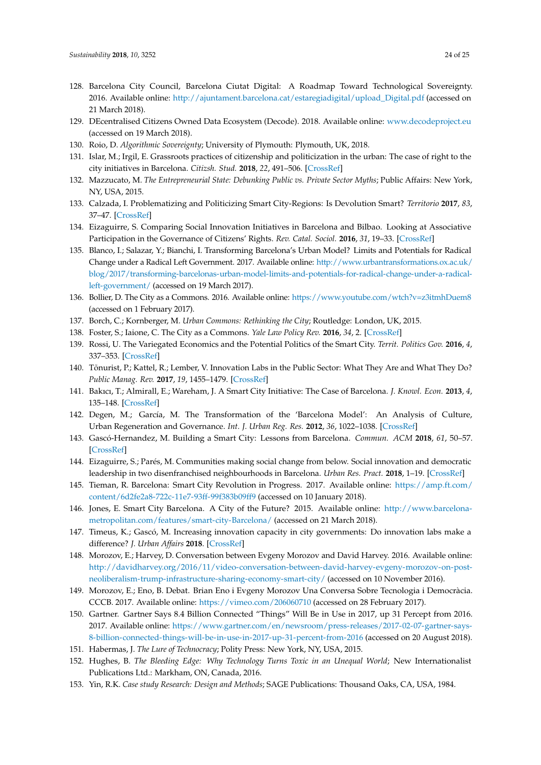- <span id="page-23-24"></span><span id="page-23-23"></span><span id="page-23-22"></span><span id="page-23-0"></span>128. Barcelona City Council, Barcelona Ciutat Digital: A Roadmap Toward Technological Sovereignty. 2016. Available online: [http://ajuntament.barcelona.cat/estaregiadigital/upload\\_Digital.pdf](http://ajuntament.barcelona.cat/estaregiadigital/upload_Digital.pdf) (accessed on 21 March 2018).
- <span id="page-23-1"></span>129. DEcentralised Citizens Owned Data Ecosystem (Decode). 2018. Available online: <www.decodeproject.eu> (accessed on 19 March 2018).
- <span id="page-23-2"></span>130. Roio, D. *Algorithmic Sovereignty*; University of Plymouth: Plymouth, UK, 2018.
- <span id="page-23-3"></span>131. Islar, M.; Irgil, E. Grassroots practices of citizenship and politicization in the urban: The case of right to the city initiatives in Barcelona. *Citizsh. Stud.* **2018**, *22*, 491–506. [\[CrossRef\]](http://dx.doi.org/10.1080/13621025.2018.1477919)
- 132. Mazzucato, M. *The Entrepreneurial State: Debunking Public vs. Private Sector Myths*; Public Affairs: New York, NY, USA, 2015.
- <span id="page-23-4"></span>133. Calzada, I. Problematizing and Politicizing Smart City-Regions: Is Devolution Smart? *Territorio* **2017**, *83*, 37–47. [\[CrossRef\]](http://dx.doi.org/10.3280/TR2017-083005)
- <span id="page-23-5"></span>134. Eizaguirre, S. Comparing Social Innovation Initiatives in Barcelona and Bilbao. Looking at Associative Participation in the Governance of Citizens' Rights. *Rev. Catal. Sociol.* **2016**, *31*, 19–33. [\[CrossRef\]](http://dx.doi.org/10.2436/20.3005.01.69)
- <span id="page-23-6"></span>135. Blanco, I.; Salazar, Y.; Bianchi, I. Transforming Barcelona's Urban Model? Limits and Potentials for Radical Change under a Radical Left Government. 2017. Available online: [http://www.urbantransformations.ox.ac.uk/](http://www.urbantransformations.ox.ac.uk/blog/2017/transforming-barcelonas-urban-model-limits-and-potentials-for-radical-change-under-a-radical-left-government/) [blog/2017/transforming-barcelonas-urban-model-limits-and-potentials-for-radical-change-under-a-radical](http://www.urbantransformations.ox.ac.uk/blog/2017/transforming-barcelonas-urban-model-limits-and-potentials-for-radical-change-under-a-radical-left-government/)[left-government/](http://www.urbantransformations.ox.ac.uk/blog/2017/transforming-barcelonas-urban-model-limits-and-potentials-for-radical-change-under-a-radical-left-government/) (accessed on 19 March 2017).
- <span id="page-23-7"></span>136. Bollier, D. The City as a Commons. 2016. Available online: <https://www.youtube.com/wtch?v=z3itmhDuem8> (accessed on 1 February 2017).
- 137. Borch, C.; Kornberger, M. *Urban Commons: Rethinking the City*; Routledge: London, UK, 2015.
- <span id="page-23-8"></span>138. Foster, S.; Iaione, C. The City as a Commons. *Yale Law Policy Rev.* **2016**, *34*, 2. [\[CrossRef\]](http://dx.doi.org/10.2139/ssrn.2653084)
- <span id="page-23-9"></span>139. Rossi, U. The Variegated Economics and the Potential Politics of the Smart City. *Territ. Politics Gov.* **2016**, *4*, 337–353. [\[CrossRef\]](http://dx.doi.org/10.1080/21622671.2015.1036913)
- <span id="page-23-10"></span>140. Tõnurist, P.; Kattel, R.; Lember, V. Innovation Labs in the Public Sector: What They Are and What They Do? *Public Manag. Rev.* **2017**, *19*, 1455–1479. [\[CrossRef\]](http://dx.doi.org/10.1080/14719037.2017.1287939)
- <span id="page-23-11"></span>141. Bakıcı, T.; Almirall, E.; Wareham, J. A Smart City Initiative: The Case of Barcelona. *J. Knowl. Econ.* **2013**, *4*, 135–148. [\[CrossRef\]](http://dx.doi.org/10.1007/s13132-012-0084-9)
- <span id="page-23-21"></span>142. Degen, M.; García, M. The Transformation of the 'Barcelona Model': An Analysis of Culture, Urban Regeneration and Governance. *Int. J. Urban Reg. Res.* **2012**, *36*, 1022–1038. [\[CrossRef\]](http://dx.doi.org/10.1111/j.1468-2427.2012.01152.x)
- <span id="page-23-12"></span>143. Gascó-Hernandez, M. Building a Smart City: Lessons from Barcelona. *Commun. ACM* **2018**, *61*, 50–57. [\[CrossRef\]](http://dx.doi.org/10.1145/3117800)
- <span id="page-23-13"></span>144. Eizaguirre, S.; Parés, M. Communities making social change from below. Social innovation and democratic leadership in two disenfranchised neighbourhoods in Barcelona. *Urban Res. Pract.* **2018**, 1–19. [\[CrossRef\]](http://dx.doi.org/10.1080/17535069.2018.1426782)
- 145. Tieman, R. Barcelona: Smart City Revolution in Progress. 2017. Available online: [https://amp.ft.com/](https://amp.ft.com/content/6d2fe2a8-722c-11e7-93ff-99f383b09ff9) [content/6d2fe2a8-722c-11e7-93ff-99f383b09ff9](https://amp.ft.com/content/6d2fe2a8-722c-11e7-93ff-99f383b09ff9) (accessed on 10 January 2018).
- 146. Jones, E. Smart City Barcelona. A City of the Future? 2015. Available online: [http://www.barcelona](http://www.barcelona-metropolitan.com/features/smart-city-Barcelona/)[metropolitan.com/features/smart-city-Barcelona/](http://www.barcelona-metropolitan.com/features/smart-city-Barcelona/) (accessed on 21 March 2018).
- <span id="page-23-14"></span>147. Timeus, K.; Gascó, M. Increasing innovation capacity in city governments: Do innovation labs make a difference? *J. Urban Affairs* **2018**. [\[CrossRef\]](http://dx.doi.org/10.1080/07352166.2018.1431049)
- <span id="page-23-15"></span>148. Morozov, E.; Harvey, D. Conversation between Evgeny Morozov and David Harvey. 2016. Available online: [http://davidharvey.org/2016/11/video-conversation-between-david-harvey-evgeny-morozov-on-post](http://davidharvey.org/2016/11/video-conversation-between-david-harvey-evgeny-morozov-on-post-neoliberalism-trump-infrastructure-sharing-economy-smart-city/)[neoliberalism-trump-infrastructure-sharing-economy-smart-city/](http://davidharvey.org/2016/11/video-conversation-between-david-harvey-evgeny-morozov-on-post-neoliberalism-trump-infrastructure-sharing-economy-smart-city/) (accessed on 10 November 2016).
- <span id="page-23-16"></span>149. Morozov, E.; Eno, B. Debat. Brian Eno i Evgeny Morozov Una Conversa Sobre Tecnologia i Democràcia. CCCB. 2017. Available online: <https://vimeo.com/206060710> (accessed on 28 February 2017).
- <span id="page-23-17"></span>150. Gartner. Gartner Says 8.4 Billion Connected "Things" Will Be in Use in 2017, up 31 Percept from 2016. 2017. Available online: [https://www.gartner.com/en/newsroom/press-releases/2017-02-07-gartner-says-](https://www.gartner.com/en/newsroom/press-releases/2017-02-07-gartner-says-8-billion-connected-things-will-be-in-use-in-2017-up-31-percent-from-2016)[8-billion-connected-things-will-be-in-use-in-2017-up-31-percent-from-2016](https://www.gartner.com/en/newsroom/press-releases/2017-02-07-gartner-says-8-billion-connected-things-will-be-in-use-in-2017-up-31-percent-from-2016) (accessed on 20 August 2018).
- <span id="page-23-18"></span>151. Habermas, J. *The Lure of Technocracy*; Polity Press: New York, NY, USA, 2015.
- <span id="page-23-19"></span>152. Hughes, B. *The Bleeding Edge: Why Technology Turns Toxic in an Unequal World*; New Internationalist Publications Ltd.: Markham, ON, Canada, 2016.
- <span id="page-23-20"></span>153. Yin, R.K. *Case study Research: Design and Methods*; SAGE Publications: Thousand Oaks, CA, USA, 1984.